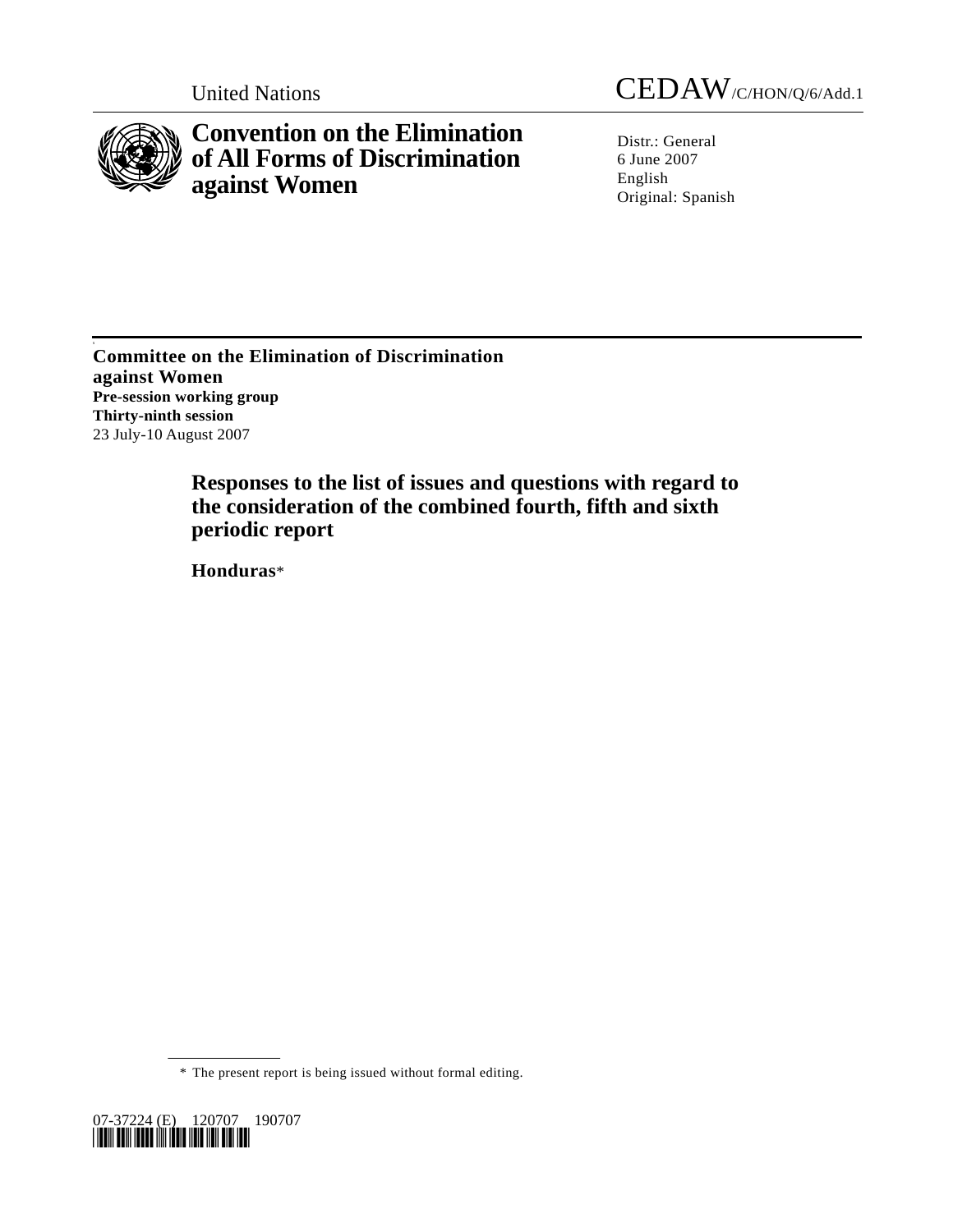

s

**Convention on the Elimination of All Forms of Discrimination against Women** 

United Nations CEDAW/C/HON/Q/6/Add.1

Distr.: General 6 June 2007 English Original: Spanish

**Committee on the Elimination of Discrimination against Women Pre-session working group Thirty-ninth session**  23 July-10 August 2007

> **Responses to the list of issues and questions with regard to the consideration of the combined fourth, fifth and sixth periodic report**

 **Honduras**\*

\* The present report is being issued without formal editing.

07-37224 (E) 120707 190707 *\*0737224\**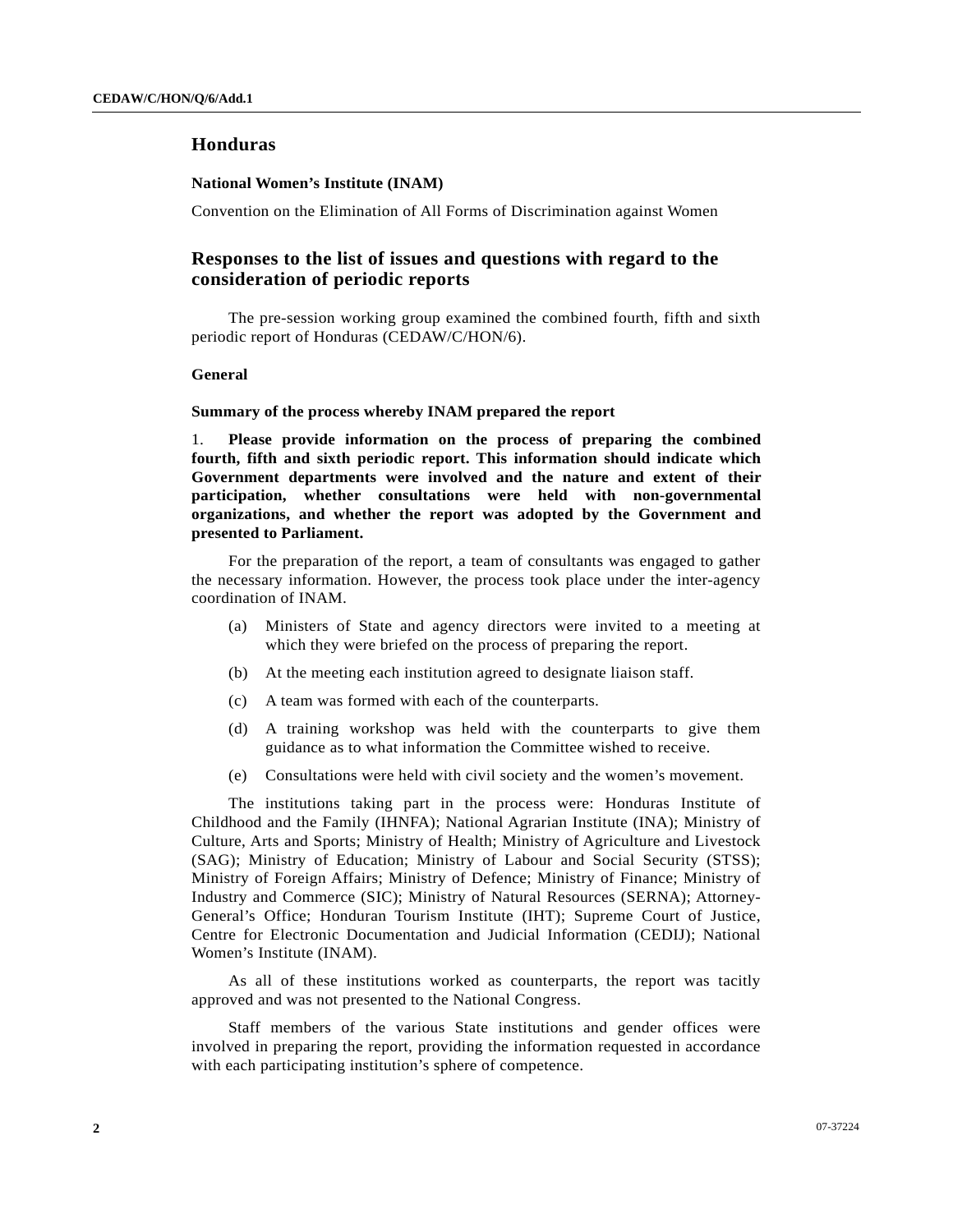# **Honduras**

#### **National Women's Institute (INAM)**

Convention on the Elimination of All Forms of Discrimination against Women

# **Responses to the list of issues and questions with regard to the consideration of periodic reports**

 The pre-session working group examined the combined fourth, fifth and sixth periodic report of Honduras (CEDAW/C/HON/6).

### **General**

### **Summary of the process whereby INAM prepared the report**

1. **Please provide information on the process of preparing the combined fourth, fifth and sixth periodic report. This information should indicate which Government departments were involved and the nature and extent of their participation, whether consultations were held with non-governmental organizations, and whether the report was adopted by the Government and presented to Parliament.** 

 For the preparation of the report, a team of consultants was engaged to gather the necessary information. However, the process took place under the inter-agency coordination of INAM.

- (a) Ministers of State and agency directors were invited to a meeting at which they were briefed on the process of preparing the report.
- (b) At the meeting each institution agreed to designate liaison staff.
- (c) A team was formed with each of the counterparts.
- (d) A training workshop was held with the counterparts to give them guidance as to what information the Committee wished to receive.
- (e) Consultations were held with civil society and the women's movement.

 The institutions taking part in the process were: Honduras Institute of Childhood and the Family (IHNFA); National Agrarian Institute (INA); Ministry of Culture, Arts and Sports; Ministry of Health; Ministry of Agriculture and Livestock (SAG); Ministry of Education; Ministry of Labour and Social Security (STSS); Ministry of Foreign Affairs; Ministry of Defence; Ministry of Finance; Ministry of Industry and Commerce (SIC); Ministry of Natural Resources (SERNA); Attorney-General's Office; Honduran Tourism Institute (IHT); Supreme Court of Justice, Centre for Electronic Documentation and Judicial Information (CEDIJ); National Women's Institute (INAM).

 As all of these institutions worked as counterparts, the report was tacitly approved and was not presented to the National Congress.

 Staff members of the various State institutions and gender offices were involved in preparing the report, providing the information requested in accordance with each participating institution's sphere of competence.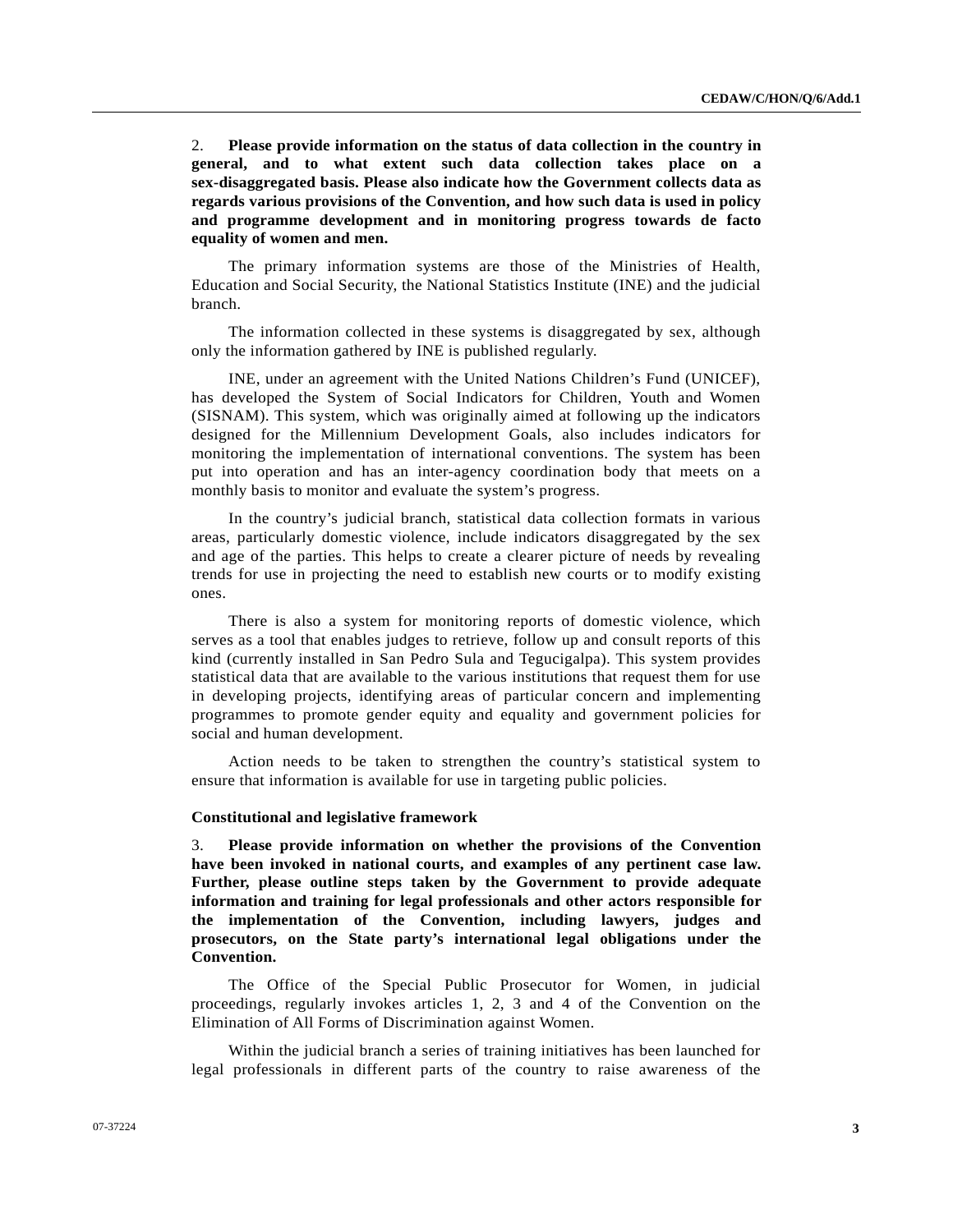2. **Please provide information on the status of data collection in the country in general, and to what extent such data collection takes place on a sex-disaggregated basis. Please also indicate how the Government collects data as regards various provisions of the Convention, and how such data is used in policy and programme development and in monitoring progress towards de facto equality of women and men.** 

 The primary information systems are those of the Ministries of Health, Education and Social Security, the National Statistics Institute (INE) and the judicial branch.

 The information collected in these systems is disaggregated by sex, although only the information gathered by INE is published regularly.

 INE, under an agreement with the United Nations Children's Fund (UNICEF), has developed the System of Social Indicators for Children, Youth and Women (SISNAM). This system, which was originally aimed at following up the indicators designed for the Millennium Development Goals, also includes indicators for monitoring the implementation of international conventions. The system has been put into operation and has an inter-agency coordination body that meets on a monthly basis to monitor and evaluate the system's progress.

 In the country's judicial branch, statistical data collection formats in various areas, particularly domestic violence, include indicators disaggregated by the sex and age of the parties. This helps to create a clearer picture of needs by revealing trends for use in projecting the need to establish new courts or to modify existing ones.

 There is also a system for monitoring reports of domestic violence, which serves as a tool that enables judges to retrieve, follow up and consult reports of this kind (currently installed in San Pedro Sula and Tegucigalpa). This system provides statistical data that are available to the various institutions that request them for use in developing projects, identifying areas of particular concern and implementing programmes to promote gender equity and equality and government policies for social and human development.

 Action needs to be taken to strengthen the country's statistical system to ensure that information is available for use in targeting public policies.

#### **Constitutional and legislative framework**

3. **Please provide information on whether the provisions of the Convention have been invoked in national courts, and examples of any pertinent case law. Further, please outline steps taken by the Government to provide adequate information and training for legal professionals and other actors responsible for the implementation of the Convention, including lawyers, judges and prosecutors, on the State party's international legal obligations under the Convention.** 

 The Office of the Special Public Prosecutor for Women, in judicial proceedings, regularly invokes articles 1, 2, 3 and 4 of the Convention on the Elimination of All Forms of Discrimination against Women.

 Within the judicial branch a series of training initiatives has been launched for legal professionals in different parts of the country to raise awareness of the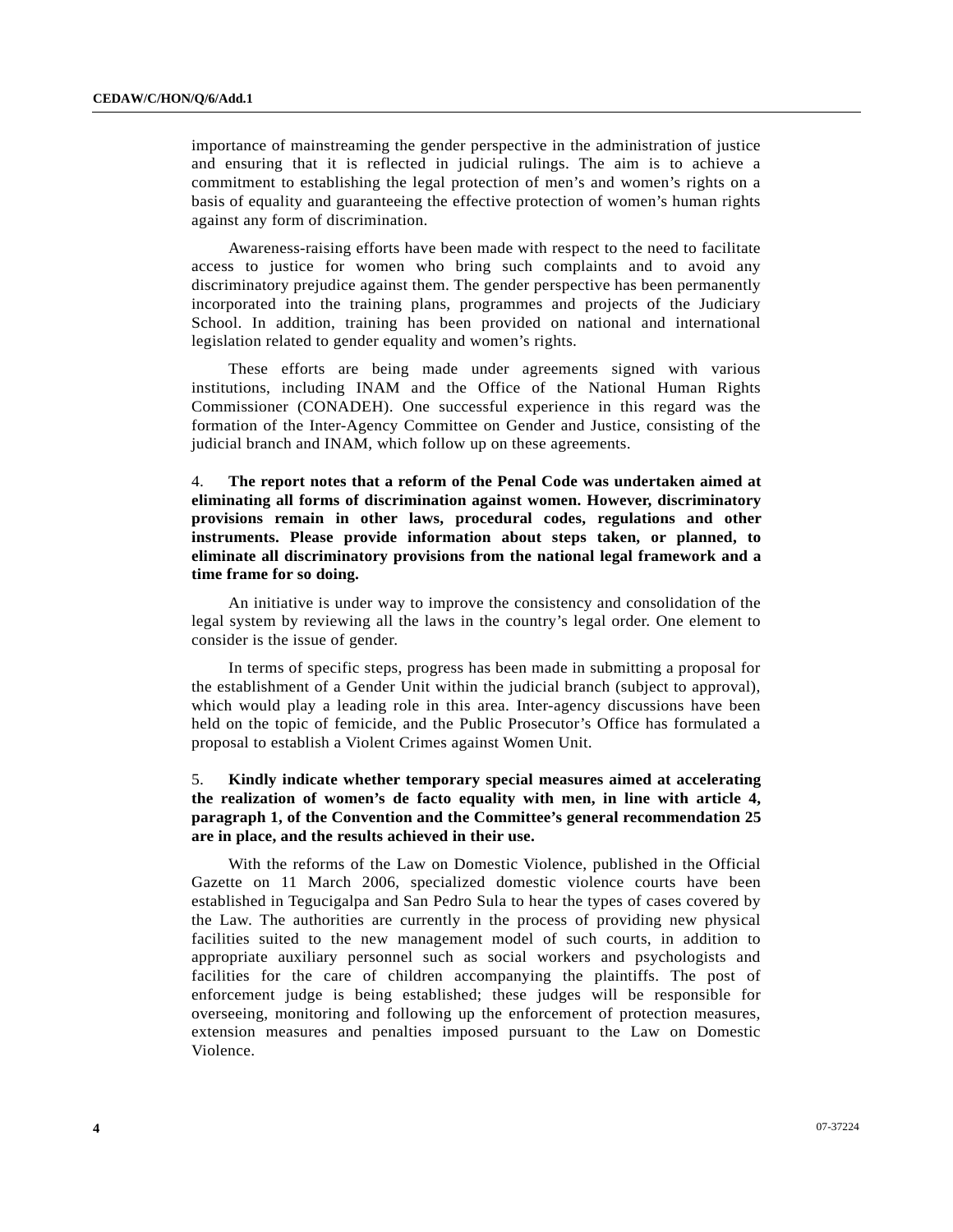importance of mainstreaming the gender perspective in the administration of justice and ensuring that it is reflected in judicial rulings. The aim is to achieve a commitment to establishing the legal protection of men's and women's rights on a basis of equality and guaranteeing the effective protection of women's human rights against any form of discrimination.

 Awareness-raising efforts have been made with respect to the need to facilitate access to justice for women who bring such complaints and to avoid any discriminatory prejudice against them. The gender perspective has been permanently incorporated into the training plans, programmes and projects of the Judiciary School. In addition, training has been provided on national and international legislation related to gender equality and women's rights.

 These efforts are being made under agreements signed with various institutions, including INAM and the Office of the National Human Rights Commissioner (CONADEH). One successful experience in this regard was the formation of the Inter-Agency Committee on Gender and Justice, consisting of the judicial branch and INAM, which follow up on these agreements.

4. **The report notes that a reform of the Penal Code was undertaken aimed at eliminating all forms of discrimination against women. However, discriminatory provisions remain in other laws, procedural codes, regulations and other instruments. Please provide information about steps taken, or planned, to eliminate all discriminatory provisions from the national legal framework and a time frame for so doing.** 

 An initiative is under way to improve the consistency and consolidation of the legal system by reviewing all the laws in the country's legal order. One element to consider is the issue of gender.

 In terms of specific steps, progress has been made in submitting a proposal for the establishment of a Gender Unit within the judicial branch (subject to approval), which would play a leading role in this area. Inter-agency discussions have been held on the topic of femicide, and the Public Prosecutor's Office has formulated a proposal to establish a Violent Crimes against Women Unit.

# 5. **Kindly indicate whether temporary special measures aimed at accelerating the realization of women's de facto equality with men, in line with article 4, paragraph 1, of the Convention and the Committee's general recommendation 25 are in place, and the results achieved in their use.**

 With the reforms of the Law on Domestic Violence, published in the Official Gazette on 11 March 2006, specialized domestic violence courts have been established in Tegucigalpa and San Pedro Sula to hear the types of cases covered by the Law. The authorities are currently in the process of providing new physical facilities suited to the new management model of such courts, in addition to appropriate auxiliary personnel such as social workers and psychologists and facilities for the care of children accompanying the plaintiffs. The post of enforcement judge is being established; these judges will be responsible for overseeing, monitoring and following up the enforcement of protection measures, extension measures and penalties imposed pursuant to the Law on Domestic Violence.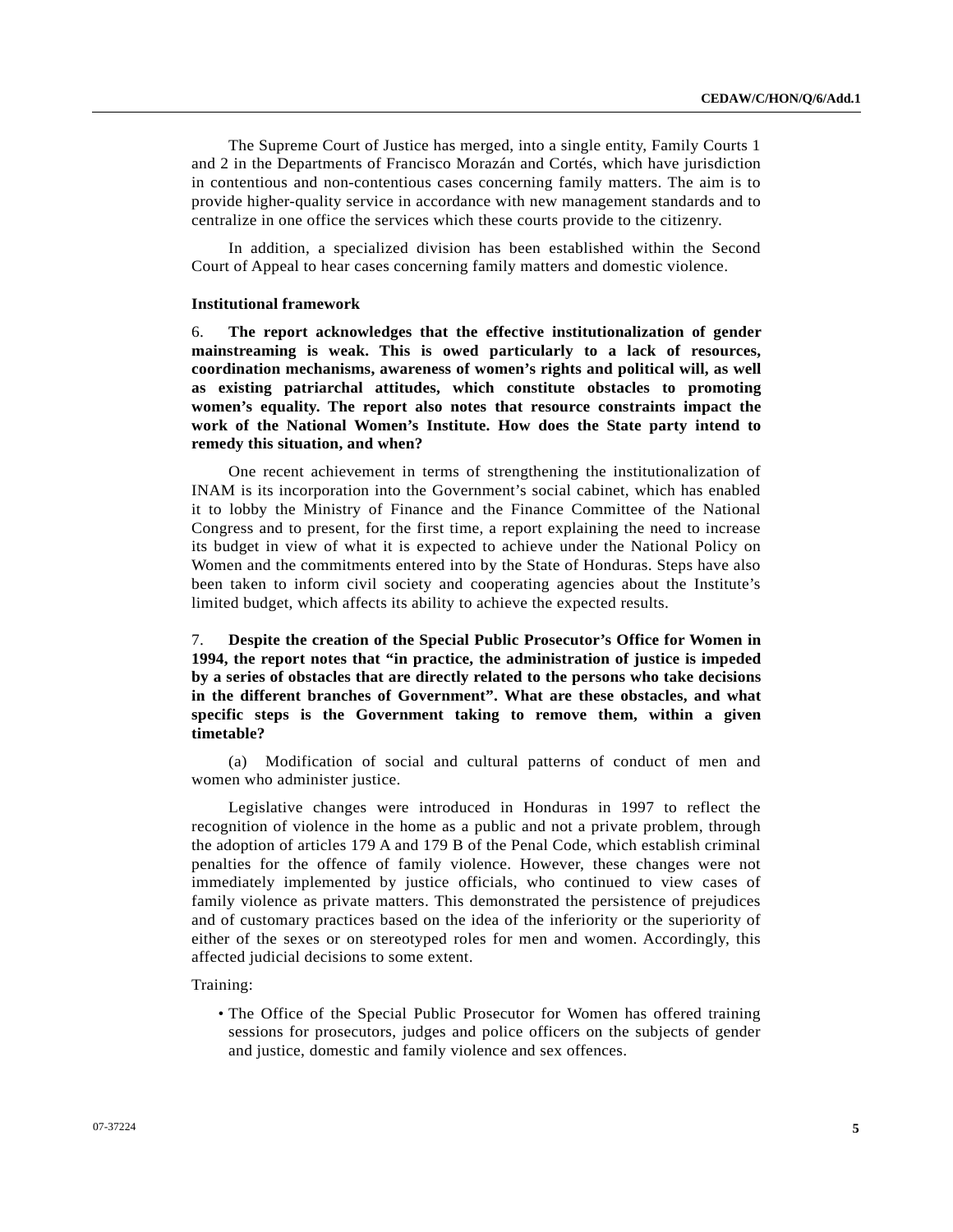The Supreme Court of Justice has merged, into a single entity, Family Courts 1 and 2 in the Departments of Francisco Morazán and Cortés, which have jurisdiction in contentious and non-contentious cases concerning family matters. The aim is to provide higher-quality service in accordance with new management standards and to centralize in one office the services which these courts provide to the citizenry.

 In addition, a specialized division has been established within the Second Court of Appeal to hear cases concerning family matters and domestic violence.

### **Institutional framework**

6. **The report acknowledges that the effective institutionalization of gender mainstreaming is weak. This is owed particularly to a lack of resources, coordination mechanisms, awareness of women's rights and political will, as well as existing patriarchal attitudes, which constitute obstacles to promoting women's equality. The report also notes that resource constraints impact the work of the National Women's Institute. How does the State party intend to remedy this situation, and when?** 

 One recent achievement in terms of strengthening the institutionalization of INAM is its incorporation into the Government's social cabinet, which has enabled it to lobby the Ministry of Finance and the Finance Committee of the National Congress and to present, for the first time, a report explaining the need to increase its budget in view of what it is expected to achieve under the National Policy on Women and the commitments entered into by the State of Honduras. Steps have also been taken to inform civil society and cooperating agencies about the Institute's limited budget, which affects its ability to achieve the expected results.

7. **Despite the creation of the Special Public Prosecutor's Office for Women in 1994, the report notes that "in practice, the administration of justice is impeded by a series of obstacles that are directly related to the persons who take decisions in the different branches of Government". What are these obstacles, and what specific steps is the Government taking to remove them, within a given timetable?** 

 (a) Modification of social and cultural patterns of conduct of men and women who administer justice.

 Legislative changes were introduced in Honduras in 1997 to reflect the recognition of violence in the home as a public and not a private problem, through the adoption of articles 179 A and 179 B of the Penal Code, which establish criminal penalties for the offence of family violence. However, these changes were not immediately implemented by justice officials, who continued to view cases of family violence as private matters. This demonstrated the persistence of prejudices and of customary practices based on the idea of the inferiority or the superiority of either of the sexes or on stereotyped roles for men and women. Accordingly, this affected judicial decisions to some extent.

Training:

• The Office of the Special Public Prosecutor for Women has offered training sessions for prosecutors, judges and police officers on the subjects of gender and justice, domestic and family violence and sex offences.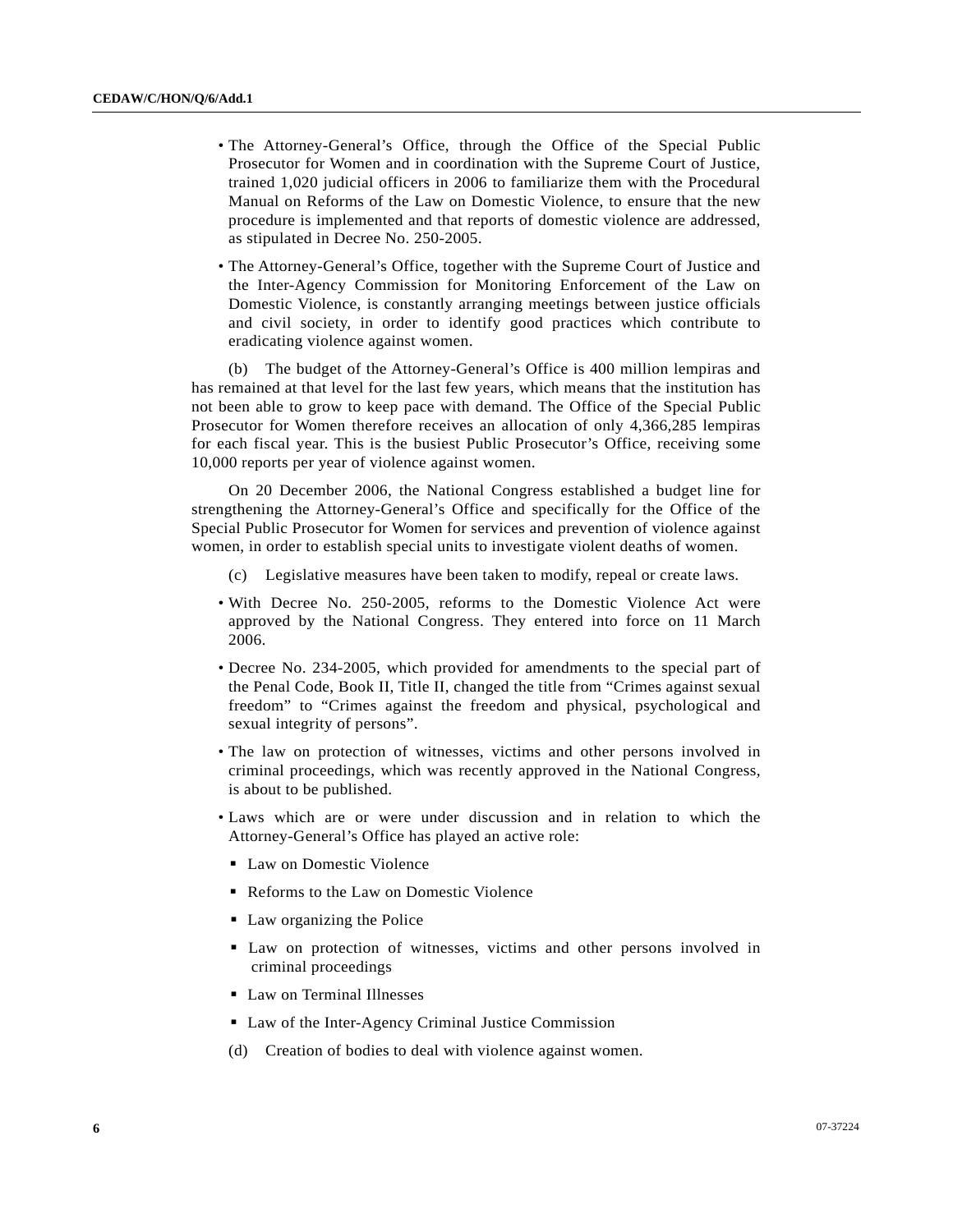- The Attorney-General's Office, through the Office of the Special Public Prosecutor for Women and in coordination with the Supreme Court of Justice, trained 1,020 judicial officers in 2006 to familiarize them with the Procedural Manual on Reforms of the Law on Domestic Violence, to ensure that the new procedure is implemented and that reports of domestic violence are addressed, as stipulated in Decree No. 250-2005.
- The Attorney-General's Office, together with the Supreme Court of Justice and the Inter-Agency Commission for Monitoring Enforcement of the Law on Domestic Violence, is constantly arranging meetings between justice officials and civil society, in order to identify good practices which contribute to eradicating violence against women.

 (b) The budget of the Attorney-General's Office is 400 million lempiras and has remained at that level for the last few years, which means that the institution has not been able to grow to keep pace with demand. The Office of the Special Public Prosecutor for Women therefore receives an allocation of only 4,366,285 lempiras for each fiscal year. This is the busiest Public Prosecutor's Office, receiving some 10,000 reports per year of violence against women.

 On 20 December 2006, the National Congress established a budget line for strengthening the Attorney-General's Office and specifically for the Office of the Special Public Prosecutor for Women for services and prevention of violence against women, in order to establish special units to investigate violent deaths of women.

- (c) Legislative measures have been taken to modify, repeal or create laws.
- With Decree No. 250-2005, reforms to the Domestic Violence Act were approved by the National Congress. They entered into force on 11 March 2006.
- Decree No. 234-2005, which provided for amendments to the special part of the Penal Code, Book II, Title II, changed the title from "Crimes against sexual freedom" to "Crimes against the freedom and physical, psychological and sexual integrity of persons".
- The law on protection of witnesses, victims and other persons involved in criminal proceedings, which was recently approved in the National Congress, is about to be published.
- Laws which are or were under discussion and in relation to which the Attorney-General's Office has played an active role:
	- **Law on Domestic Violence**
	- Reforms to the Law on Domestic Violence
	- Law organizing the Police
	- Law on protection of witnesses, victims and other persons involved in criminal proceedings
	- **Law on Terminal Illnesses**
	- Law of the Inter-Agency Criminal Justice Commission
	- (d) Creation of bodies to deal with violence against women.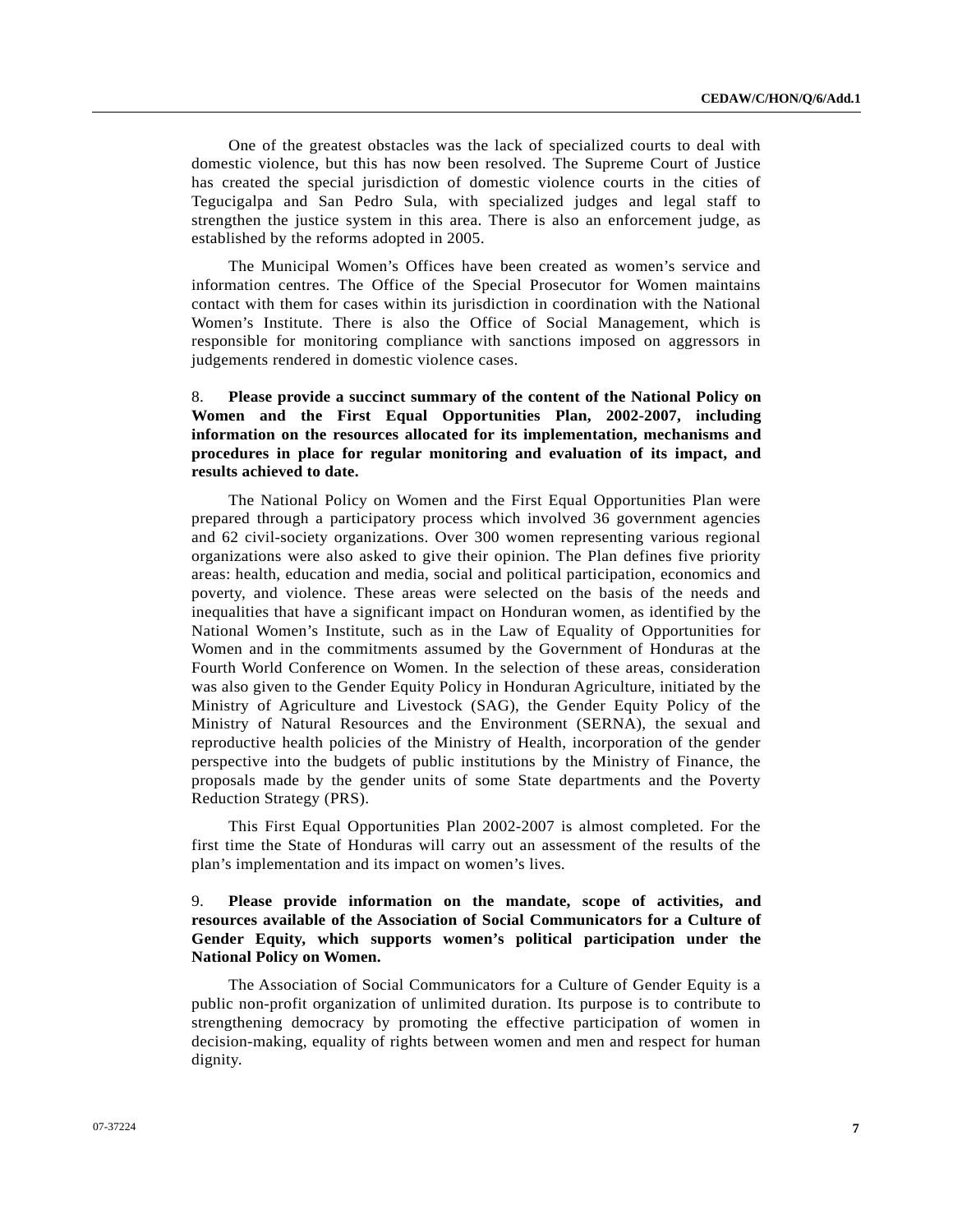One of the greatest obstacles was the lack of specialized courts to deal with domestic violence, but this has now been resolved. The Supreme Court of Justice has created the special jurisdiction of domestic violence courts in the cities of Tegucigalpa and San Pedro Sula, with specialized judges and legal staff to strengthen the justice system in this area. There is also an enforcement judge, as established by the reforms adopted in 2005.

 The Municipal Women's Offices have been created as women's service and information centres. The Office of the Special Prosecutor for Women maintains contact with them for cases within its jurisdiction in coordination with the National Women's Institute. There is also the Office of Social Management, which is responsible for monitoring compliance with sanctions imposed on aggressors in judgements rendered in domestic violence cases.

# 8. **Please provide a succinct summary of the content of the National Policy on Women and the First Equal Opportunities Plan, 2002-2007, including information on the resources allocated for its implementation, mechanisms and procedures in place for regular monitoring and evaluation of its impact, and results achieved to date.**

 The National Policy on Women and the First Equal Opportunities Plan were prepared through a participatory process which involved 36 government agencies and 62 civil-society organizations. Over 300 women representing various regional organizations were also asked to give their opinion. The Plan defines five priority areas: health, education and media, social and political participation, economics and poverty, and violence. These areas were selected on the basis of the needs and inequalities that have a significant impact on Honduran women, as identified by the National Women's Institute, such as in the Law of Equality of Opportunities for Women and in the commitments assumed by the Government of Honduras at the Fourth World Conference on Women. In the selection of these areas, consideration was also given to the Gender Equity Policy in Honduran Agriculture, initiated by the Ministry of Agriculture and Livestock (SAG), the Gender Equity Policy of the Ministry of Natural Resources and the Environment (SERNA), the sexual and reproductive health policies of the Ministry of Health, incorporation of the gender perspective into the budgets of public institutions by the Ministry of Finance, the proposals made by the gender units of some State departments and the Poverty Reduction Strategy (PRS).

 This First Equal Opportunities Plan 2002-2007 is almost completed. For the first time the State of Honduras will carry out an assessment of the results of the plan's implementation and its impact on women's lives.

## 9. **Please provide information on the mandate, scope of activities, and resources available of the Association of Social Communicators for a Culture of Gender Equity, which supports women's political participation under the National Policy on Women.**

 The Association of Social Communicators for a Culture of Gender Equity is a public non-profit organization of unlimited duration. Its purpose is to contribute to strengthening democracy by promoting the effective participation of women in decision-making, equality of rights between women and men and respect for human dignity.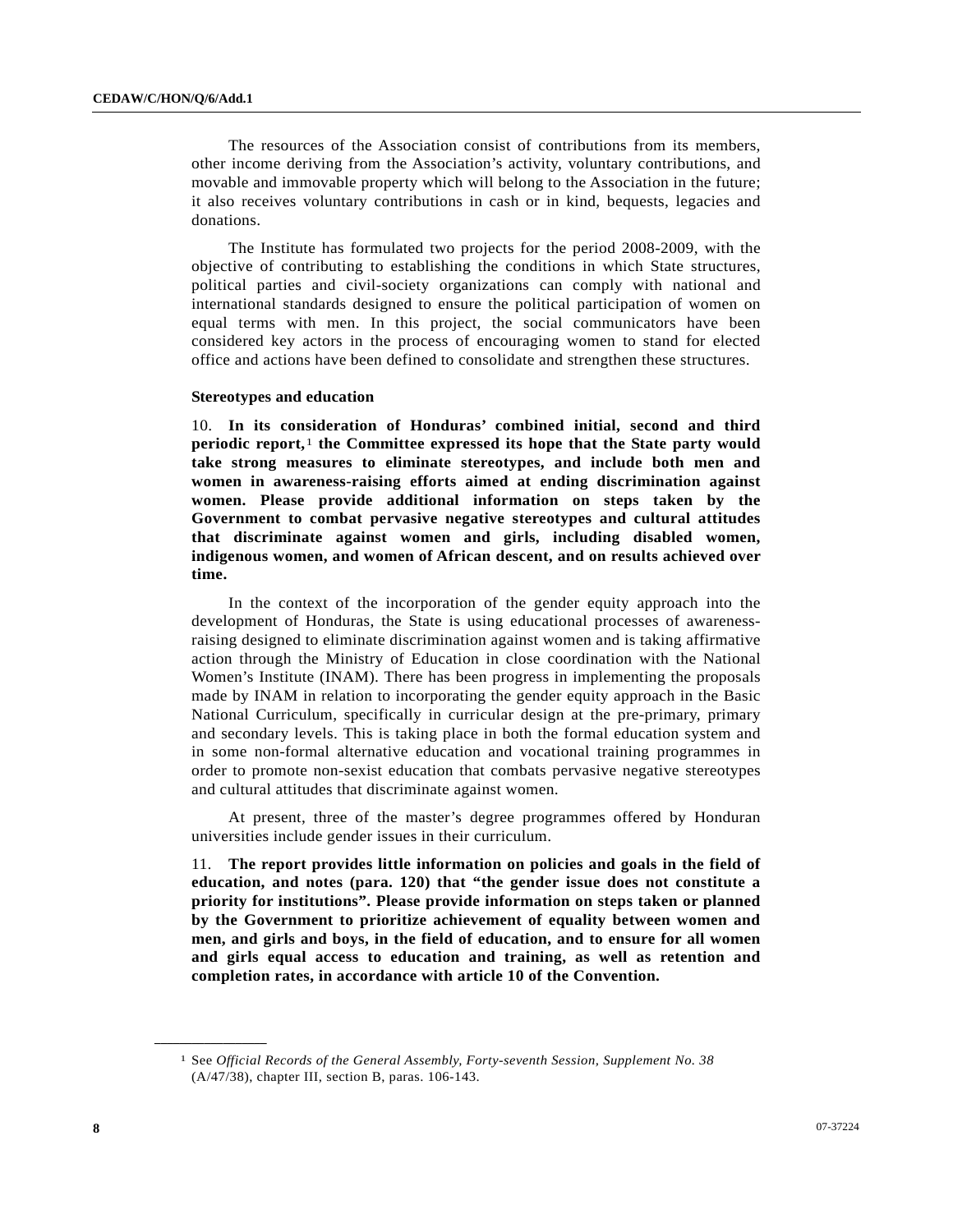The resources of the Association consist of contributions from its members, other income deriving from the Association's activity, voluntary contributions, and movable and immovable property which will belong to the Association in the future; it also receives voluntary contributions in cash or in kind, bequests, legacies and donations.

 The Institute has formulated two projects for the period 2008-2009, with the objective of contributing to establishing the conditions in which State structures, political parties and civil-society organizations can comply with national and international standards designed to ensure the political participation of women on equal terms with men. In this project, the social communicators have been considered key actors in the process of encouraging women to stand for elected office and actions have been defined to consolidate and strengthen these structures.

#### **Stereotypes and education**

10. **In its consideration of Honduras' combined initial, second and third periodic report,**[1](#page-7-0) **the Committee expressed its hope that the State party would take strong measures to eliminate stereotypes, and include both men and women in awareness-raising efforts aimed at ending discrimination against women. Please provide additional information on steps taken by the Government to combat pervasive negative stereotypes and cultural attitudes that discriminate against women and girls, including disabled women, indigenous women, and women of African descent, and on results achieved over time.** 

 In the context of the incorporation of the gender equity approach into the development of Honduras, the State is using educational processes of awarenessraising designed to eliminate discrimination against women and is taking affirmative action through the Ministry of Education in close coordination with the National Women's Institute (INAM). There has been progress in implementing the proposals made by INAM in relation to incorporating the gender equity approach in the Basic National Curriculum, specifically in curricular design at the pre-primary, primary and secondary levels. This is taking place in both the formal education system and in some non-formal alternative education and vocational training programmes in order to promote non-sexist education that combats pervasive negative stereotypes and cultural attitudes that discriminate against women.

 At present, three of the master's degree programmes offered by Honduran universities include gender issues in their curriculum.

11. **The report provides little information on policies and goals in the field of education, and notes (para. 120) that "the gender issue does not constitute a priority for institutions". Please provide information on steps taken or planned by the Government to prioritize achievement of equality between women and men, and girls and boys, in the field of education, and to ensure for all women and girls equal access to education and training, as well as retention and completion rates, in accordance with article 10 of the Convention.**

<span id="page-7-0"></span>**\_\_\_\_\_\_\_\_\_\_\_\_\_\_\_\_\_\_** 

<sup>1</sup> See *Official Records of the General Assembly, Forty-seventh Session, Supplement No. 38* (A/47/38), chapter III, section B, paras. 106-143.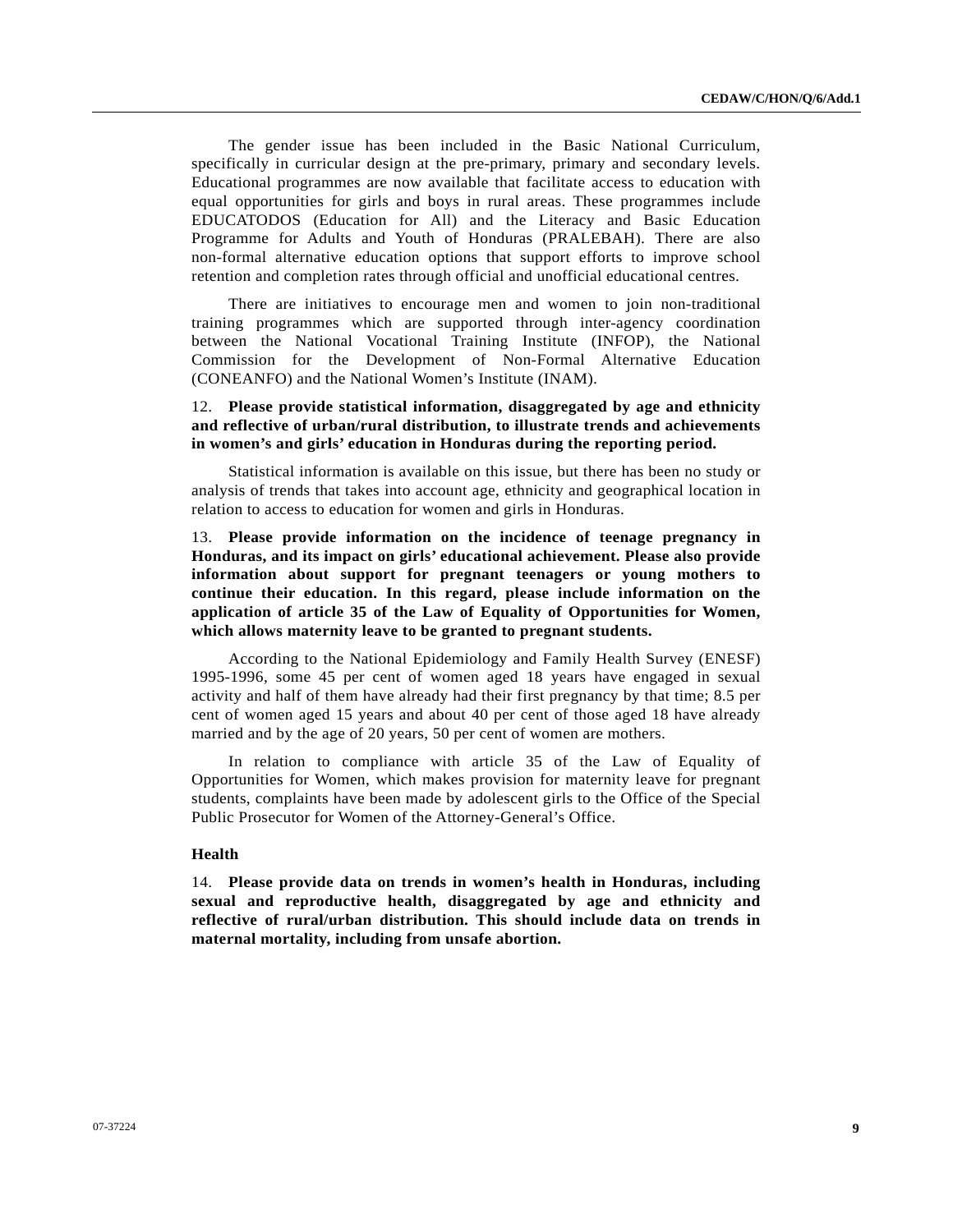The gender issue has been included in the Basic National Curriculum, specifically in curricular design at the pre-primary, primary and secondary levels. Educational programmes are now available that facilitate access to education with equal opportunities for girls and boys in rural areas. These programmes include EDUCATODOS (Education for All) and the Literacy and Basic Education Programme for Adults and Youth of Honduras (PRALEBAH). There are also non-formal alternative education options that support efforts to improve school retention and completion rates through official and unofficial educational centres.

 There are initiatives to encourage men and women to join non-traditional training programmes which are supported through inter-agency coordination between the National Vocational Training Institute (INFOP), the National Commission for the Development of Non-Formal Alternative Education (CONEANFO) and the National Women's Institute (INAM).

## 12. **Please provide statistical information, disaggregated by age and ethnicity and reflective of urban/rural distribution, to illustrate trends and achievements in women's and girls' education in Honduras during the reporting period.**

 Statistical information is available on this issue, but there has been no study or analysis of trends that takes into account age, ethnicity and geographical location in relation to access to education for women and girls in Honduras.

13. **Please provide information on the incidence of teenage pregnancy in Honduras, and its impact on girls' educational achievement. Please also provide information about support for pregnant teenagers or young mothers to continue their education. In this regard, please include information on the application of article 35 of the Law of Equality of Opportunities for Women, which allows maternity leave to be granted to pregnant students.**

 According to the National Epidemiology and Family Health Survey (ENESF) 1995-1996, some 45 per cent of women aged 18 years have engaged in sexual activity and half of them have already had their first pregnancy by that time; 8.5 per cent of women aged 15 years and about 40 per cent of those aged 18 have already married and by the age of 20 years, 50 per cent of women are mothers.

 In relation to compliance with article 35 of the Law of Equality of Opportunities for Women, which makes provision for maternity leave for pregnant students, complaints have been made by adolescent girls to the Office of the Special Public Prosecutor for Women of the Attorney-General's Office.

### **Health**

14. **Please provide data on trends in women's health in Honduras, including sexual and reproductive health, disaggregated by age and ethnicity and reflective of rural/urban distribution. This should include data on trends in maternal mortality, including from unsafe abortion.**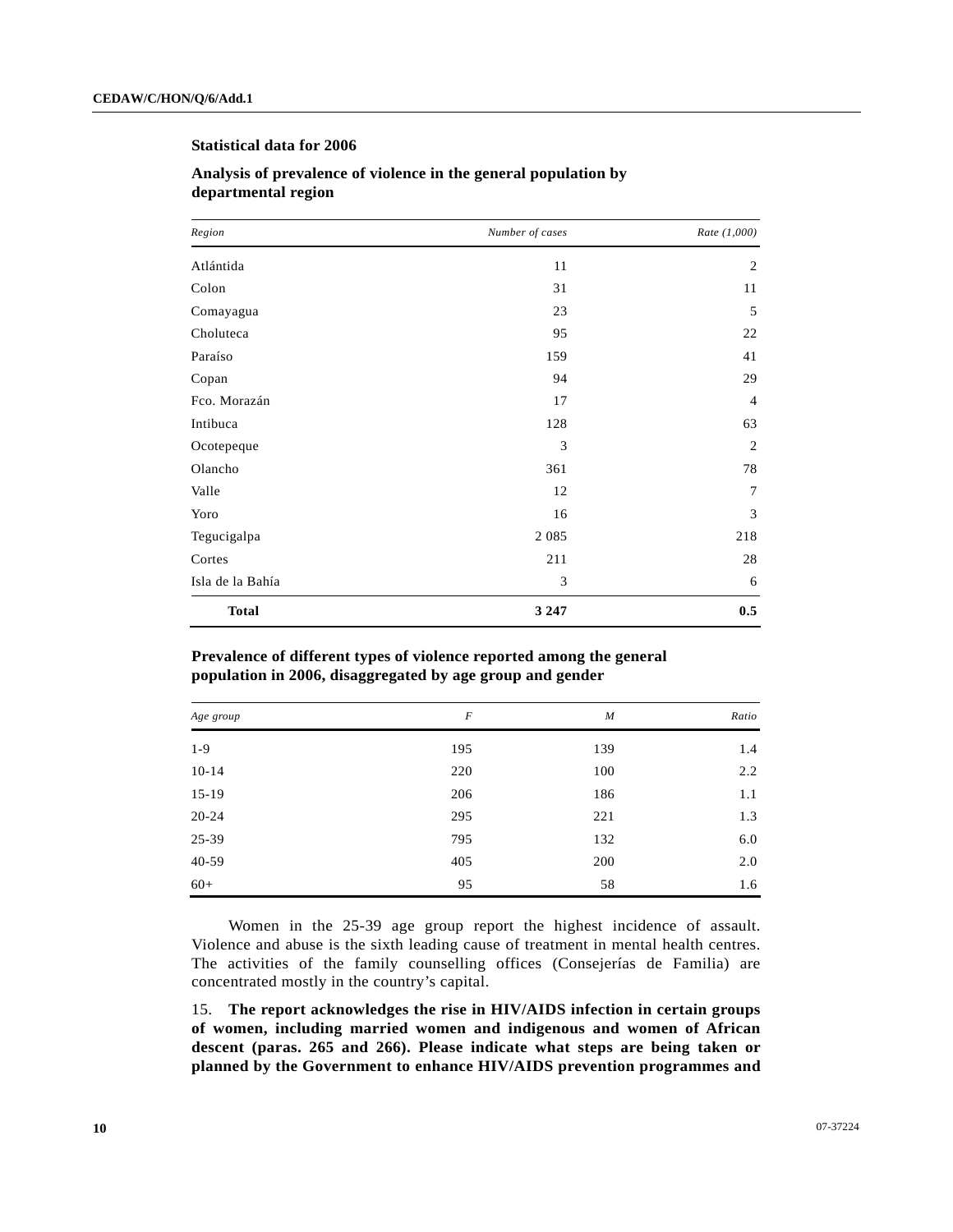## **Statistical data for 2006**

| Region           | Number of cases | Rate (1,000)   |  |
|------------------|-----------------|----------------|--|
| Atlántida        | 11              | $\overline{c}$ |  |
| Colon            | 31              | 11             |  |
| Comayagua        | 23              | 5              |  |
| Choluteca        | 95              | 22             |  |
| Paraíso          | 159             | 41             |  |
| Copan            | 94              | 29             |  |
| Fco. Morazán     | 17              | $\overline{4}$ |  |
| Intibuca         | 128             | 63             |  |
| Ocotepeque       | 3               | $\mathfrak{2}$ |  |
| Olancho          | 361             | 78             |  |
| Valle            | 12              | 7              |  |
| Yoro             | 16              | 3              |  |
| Tegucigalpa      | 2 0 8 5         | 218            |  |
| Cortes           | 211             | 28             |  |
| Isla de la Bahía | 3               | 6              |  |
| <b>Total</b>     | 3 2 4 7         | 0.5            |  |

# **Analysis of prevalence of violence in the general population by departmental region**

### **Prevalence of different types of violence reported among the general population in 2006, disaggregated by age group and gender**

| Age group | $\boldsymbol{F}$ | $\boldsymbol{M}$ | Ratio         |
|-----------|------------------|------------------|---------------|
| $1-9$     | 195              | 139              | 1.4           |
| $10 - 14$ | 220              | 100              | $2.2^{\circ}$ |
| $15-19$   | 206              | 186              | 1.1           |
| $20 - 24$ | 295              | 221              | 1.3           |
| 25-39     | 795              | 132              | 6.0           |
| 40-59     | 405              | 200              | 2.0           |
| $60+$     | 95               | 58               | 1.6           |

 Women in the 25-39 age group report the highest incidence of assault. Violence and abuse is the sixth leading cause of treatment in mental health centres. The activities of the family counselling offices (Consejerías de Familia) are concentrated mostly in the country's capital.

15. **The report acknowledges the rise in HIV/AIDS infection in certain groups of women, including married women and indigenous and women of African descent (paras. 265 and 266). Please indicate what steps are being taken or planned by the Government to enhance HIV/AIDS prevention programmes and**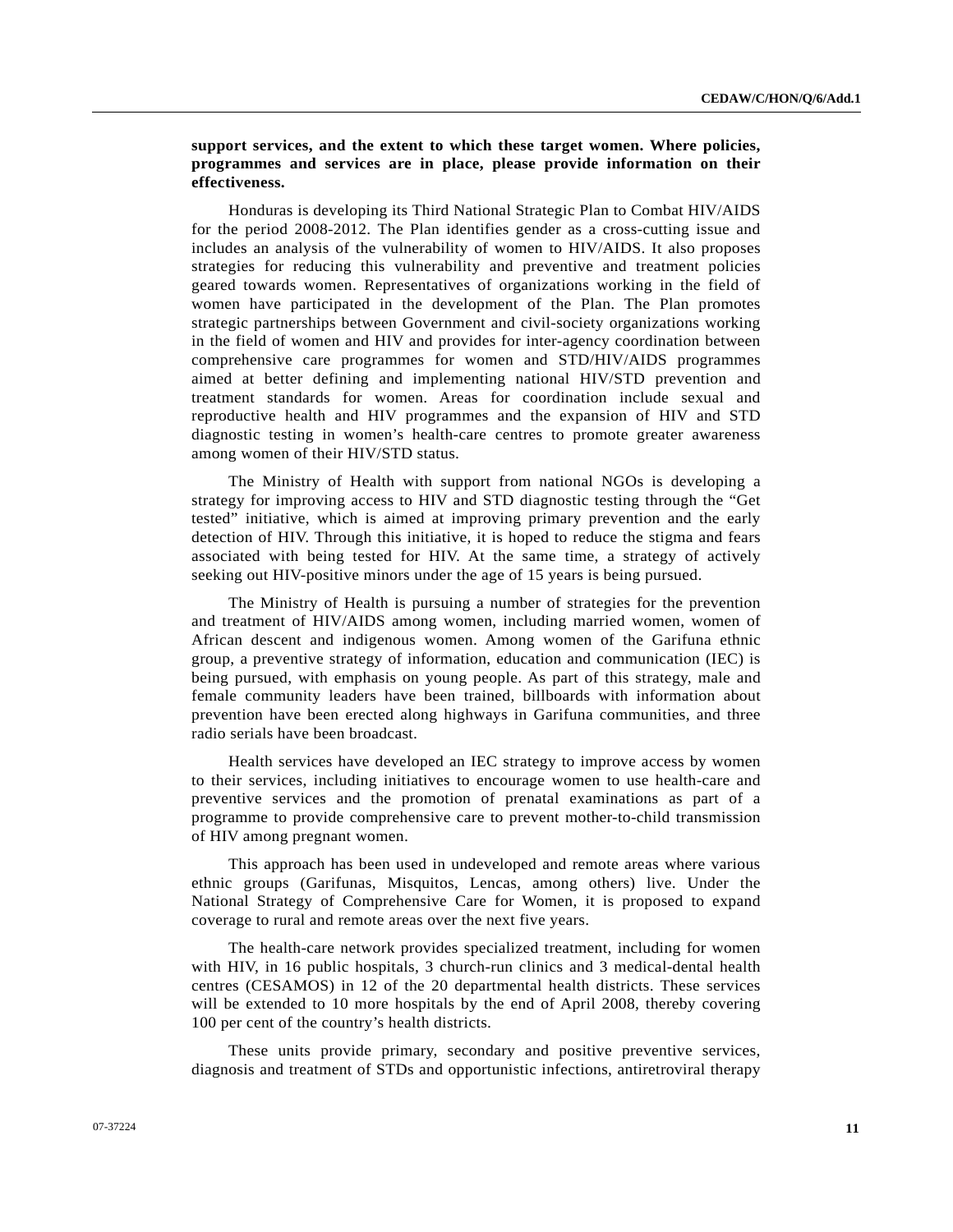**support services, and the extent to which these target women. Where policies, programmes and services are in place, please provide information on their effectiveness.**

 Honduras is developing its Third National Strategic Plan to Combat HIV/AIDS for the period 2008-2012. The Plan identifies gender as a cross-cutting issue and includes an analysis of the vulnerability of women to HIV/AIDS. It also proposes strategies for reducing this vulnerability and preventive and treatment policies geared towards women. Representatives of organizations working in the field of women have participated in the development of the Plan. The Plan promotes strategic partnerships between Government and civil-society organizations working in the field of women and HIV and provides for inter-agency coordination between comprehensive care programmes for women and STD/HIV/AIDS programmes aimed at better defining and implementing national HIV/STD prevention and treatment standards for women. Areas for coordination include sexual and reproductive health and HIV programmes and the expansion of HIV and STD diagnostic testing in women's health-care centres to promote greater awareness among women of their HIV/STD status.

 The Ministry of Health with support from national NGOs is developing a strategy for improving access to HIV and STD diagnostic testing through the "Get tested" initiative, which is aimed at improving primary prevention and the early detection of HIV. Through this initiative, it is hoped to reduce the stigma and fears associated with being tested for HIV. At the same time, a strategy of actively seeking out HIV-positive minors under the age of 15 years is being pursued.

 The Ministry of Health is pursuing a number of strategies for the prevention and treatment of HIV/AIDS among women, including married women, women of African descent and indigenous women. Among women of the Garifuna ethnic group, a preventive strategy of information, education and communication (IEC) is being pursued, with emphasis on young people. As part of this strategy, male and female community leaders have been trained, billboards with information about prevention have been erected along highways in Garifuna communities, and three radio serials have been broadcast.

 Health services have developed an IEC strategy to improve access by women to their services, including initiatives to encourage women to use health-care and preventive services and the promotion of prenatal examinations as part of a programme to provide comprehensive care to prevent mother-to-child transmission of HIV among pregnant women.

 This approach has been used in undeveloped and remote areas where various ethnic groups (Garifunas, Misquitos, Lencas, among others) live. Under the National Strategy of Comprehensive Care for Women, it is proposed to expand coverage to rural and remote areas over the next five years.

 The health-care network provides specialized treatment, including for women with HIV, in 16 public hospitals, 3 church-run clinics and 3 medical-dental health centres (CESAMOS) in 12 of the 20 departmental health districts. These services will be extended to 10 more hospitals by the end of April 2008, thereby covering 100 per cent of the country's health districts.

 These units provide primary, secondary and positive preventive services, diagnosis and treatment of STDs and opportunistic infections, antiretroviral therapy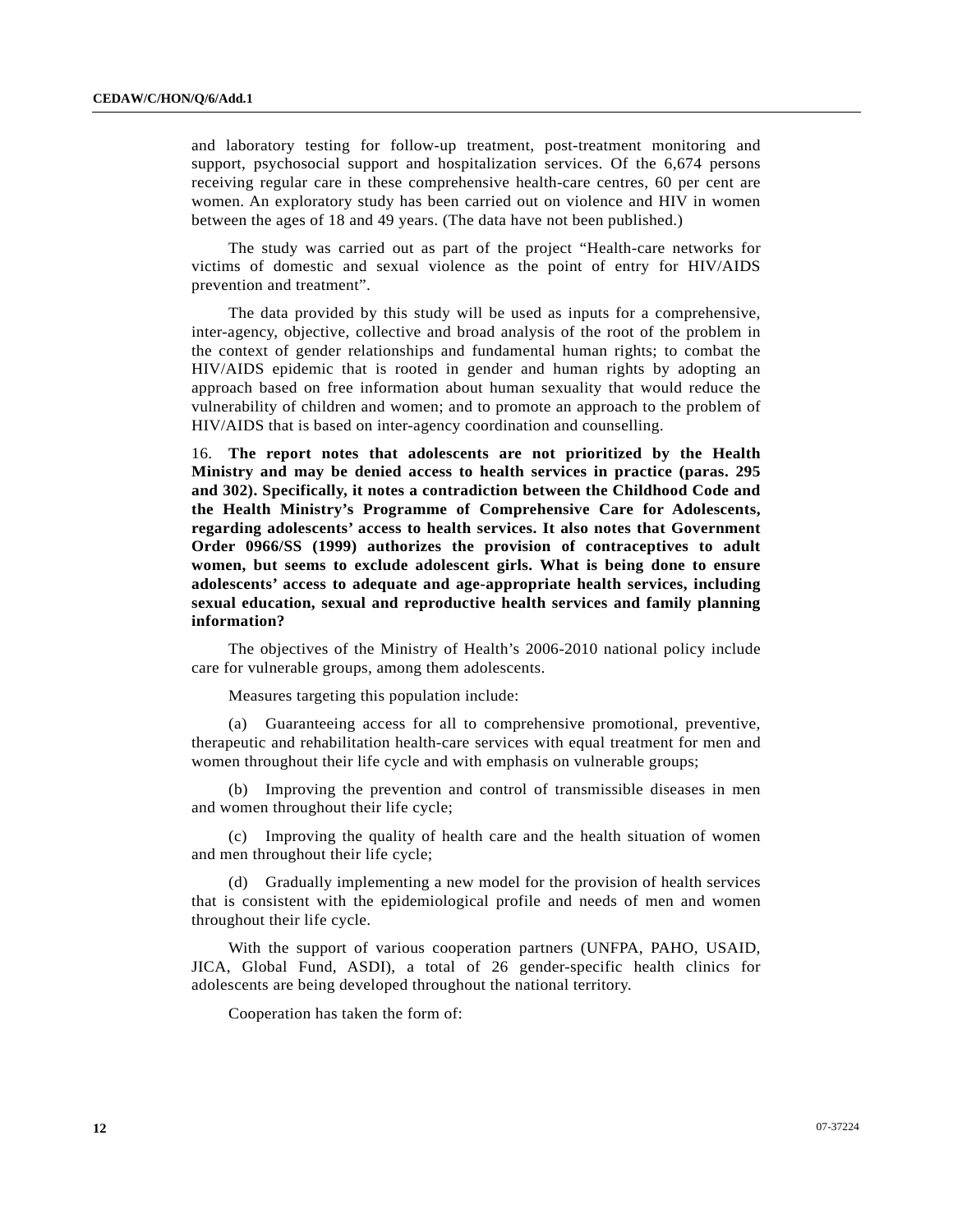and laboratory testing for follow-up treatment, post-treatment monitoring and support, psychosocial support and hospitalization services. Of the 6,674 persons receiving regular care in these comprehensive health-care centres, 60 per cent are women. An exploratory study has been carried out on violence and HIV in women between the ages of 18 and 49 years. (The data have not been published.)

 The study was carried out as part of the project "Health-care networks for victims of domestic and sexual violence as the point of entry for HIV/AIDS prevention and treatment".

 The data provided by this study will be used as inputs for a comprehensive, inter-agency, objective, collective and broad analysis of the root of the problem in the context of gender relationships and fundamental human rights; to combat the HIV/AIDS epidemic that is rooted in gender and human rights by adopting an approach based on free information about human sexuality that would reduce the vulnerability of children and women; and to promote an approach to the problem of HIV/AIDS that is based on inter-agency coordination and counselling.

16. **The report notes that adolescents are not prioritized by the Health Ministry and may be denied access to health services in practice (paras. 295 and 302). Specifically, it notes a contradiction between the Childhood Code and the Health Ministry's Programme of Comprehensive Care for Adolescents, regarding adolescents' access to health services. It also notes that Government Order 0966/SS (1999) authorizes the provision of contraceptives to adult women, but seems to exclude adolescent girls. What is being done to ensure adolescents' access to adequate and age-appropriate health services, including sexual education, sexual and reproductive health services and family planning information?**

 The objectives of the Ministry of Health's 2006-2010 national policy include care for vulnerable groups, among them adolescents.

Measures targeting this population include:

 (a) Guaranteeing access for all to comprehensive promotional, preventive, therapeutic and rehabilitation health-care services with equal treatment for men and women throughout their life cycle and with emphasis on vulnerable groups;

 (b) Improving the prevention and control of transmissible diseases in men and women throughout their life cycle;

 (c) Improving the quality of health care and the health situation of women and men throughout their life cycle;

 (d) Gradually implementing a new model for the provision of health services that is consistent with the epidemiological profile and needs of men and women throughout their life cycle.

 With the support of various cooperation partners (UNFPA, PAHO, USAID, JICA, Global Fund, ASDI), a total of 26 gender-specific health clinics for adolescents are being developed throughout the national territory.

Cooperation has taken the form of: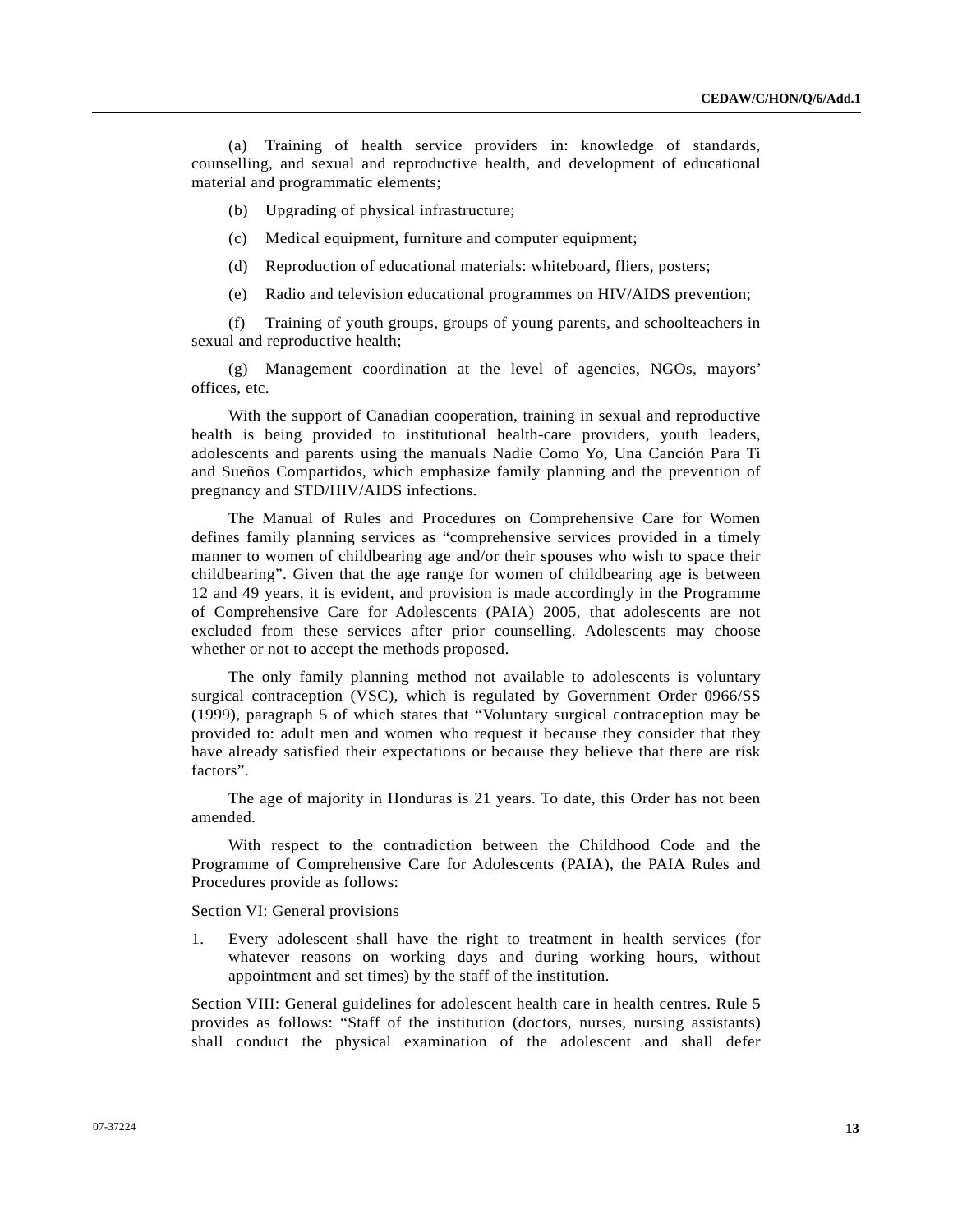(a) Training of health service providers in: knowledge of standards, counselling, and sexual and reproductive health, and development of educational material and programmatic elements;

- (b) Upgrading of physical infrastructure;
- (c) Medical equipment, furniture and computer equipment;
- (d) Reproduction of educational materials: whiteboard, fliers, posters;
- (e) Radio and television educational programmes on HIV/AIDS prevention;

 (f) Training of youth groups, groups of young parents, and schoolteachers in sexual and reproductive health;

 (g) Management coordination at the level of agencies, NGOs, mayors' offices, etc.

 With the support of Canadian cooperation, training in sexual and reproductive health is being provided to institutional health-care providers, youth leaders, adolescents and parents using the manuals Nadie Como Yo, Una Canción Para Ti and Sueños Compartidos, which emphasize family planning and the prevention of pregnancy and STD/HIV/AIDS infections.

 The Manual of Rules and Procedures on Comprehensive Care for Women defines family planning services as "comprehensive services provided in a timely manner to women of childbearing age and/or their spouses who wish to space their childbearing". Given that the age range for women of childbearing age is between 12 and 49 years, it is evident, and provision is made accordingly in the Programme of Comprehensive Care for Adolescents (PAIA) 2005, that adolescents are not excluded from these services after prior counselling. Adolescents may choose whether or not to accept the methods proposed.

 The only family planning method not available to adolescents is voluntary surgical contraception (VSC), which is regulated by Government Order 0966/SS (1999), paragraph 5 of which states that "Voluntary surgical contraception may be provided to: adult men and women who request it because they consider that they have already satisfied their expectations or because they believe that there are risk factors".

 The age of majority in Honduras is 21 years. To date, this Order has not been amended.

 With respect to the contradiction between the Childhood Code and the Programme of Comprehensive Care for Adolescents (PAIA), the PAIA Rules and Procedures provide as follows:

Section VI: General provisions

1. Every adolescent shall have the right to treatment in health services (for whatever reasons on working days and during working hours, without appointment and set times) by the staff of the institution.

Section VIII: General guidelines for adolescent health care in health centres. Rule 5 provides as follows: "Staff of the institution (doctors, nurses, nursing assistants) shall conduct the physical examination of the adolescent and shall defer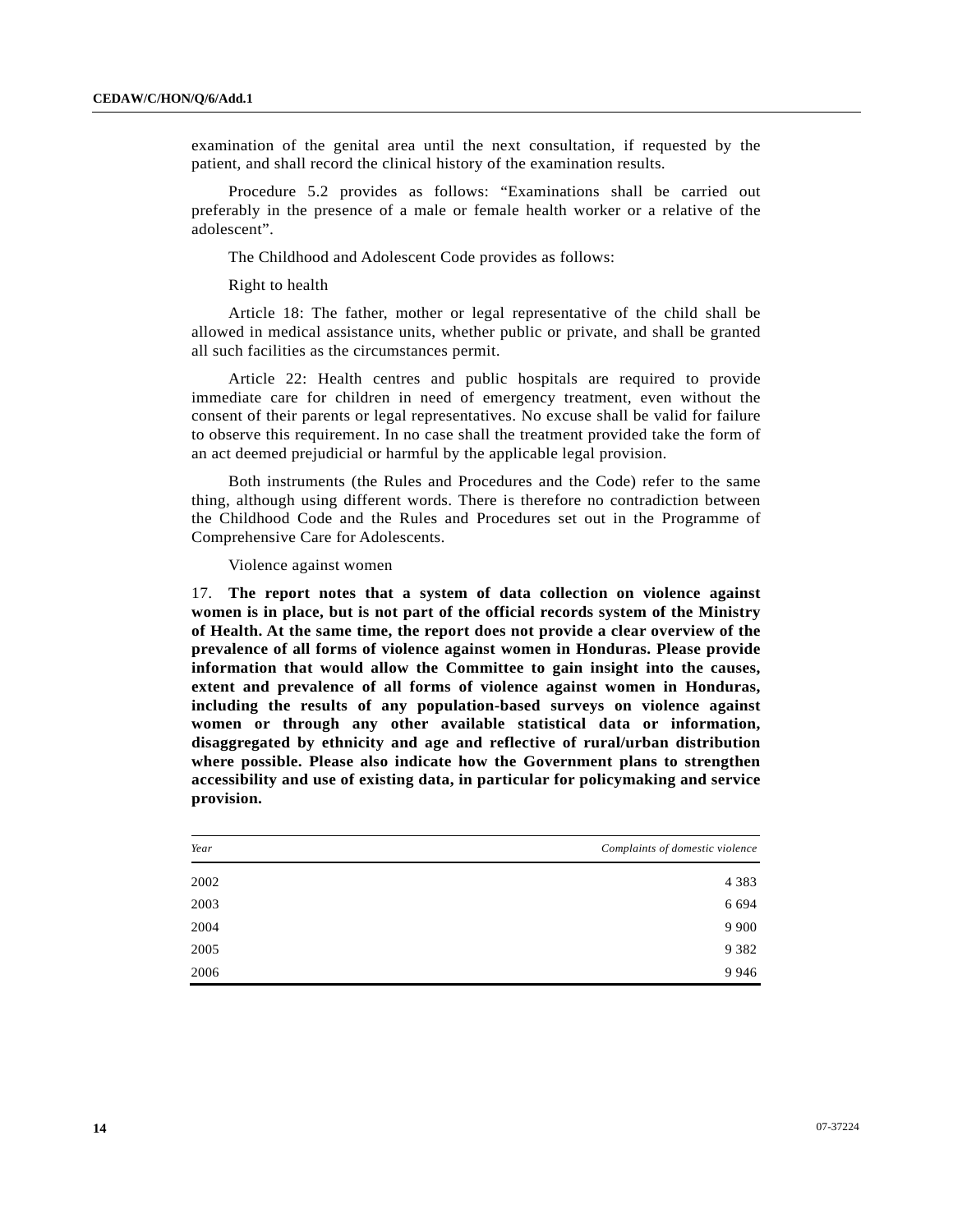examination of the genital area until the next consultation, if requested by the patient, and shall record the clinical history of the examination results.

 Procedure 5.2 provides as follows: "Examinations shall be carried out preferably in the presence of a male or female health worker or a relative of the adolescent".

The Childhood and Adolescent Code provides as follows:

Right to health

 Article 18: The father, mother or legal representative of the child shall be allowed in medical assistance units, whether public or private, and shall be granted all such facilities as the circumstances permit.

 Article 22: Health centres and public hospitals are required to provide immediate care for children in need of emergency treatment, even without the consent of their parents or legal representatives. No excuse shall be valid for failure to observe this requirement. In no case shall the treatment provided take the form of an act deemed prejudicial or harmful by the applicable legal provision.

 Both instruments (the Rules and Procedures and the Code) refer to the same thing, although using different words. There is therefore no contradiction between the Childhood Code and the Rules and Procedures set out in the Programme of Comprehensive Care for Adolescents.

Violence against women

17. **The report notes that a system of data collection on violence against women is in place, but is not part of the official records system of the Ministry of Health. At the same time, the report does not provide a clear overview of the prevalence of all forms of violence against women in Honduras. Please provide information that would allow the Committee to gain insight into the causes, extent and prevalence of all forms of violence against women in Honduras, including the results of any population-based surveys on violence against women or through any other available statistical data or information, disaggregated by ethnicity and age and reflective of rural/urban distribution where possible. Please also indicate how the Government plans to strengthen accessibility and use of existing data, in particular for policymaking and service provision.**

| Year | Complaints of domestic violence |
|------|---------------------------------|
| 2002 | 4 3 8 3                         |
| 2003 | 6 6 9 4                         |
| 2004 | 9 9 0 0                         |
| 2005 | 9 3 8 2                         |
| 2006 | 9 9 4 6                         |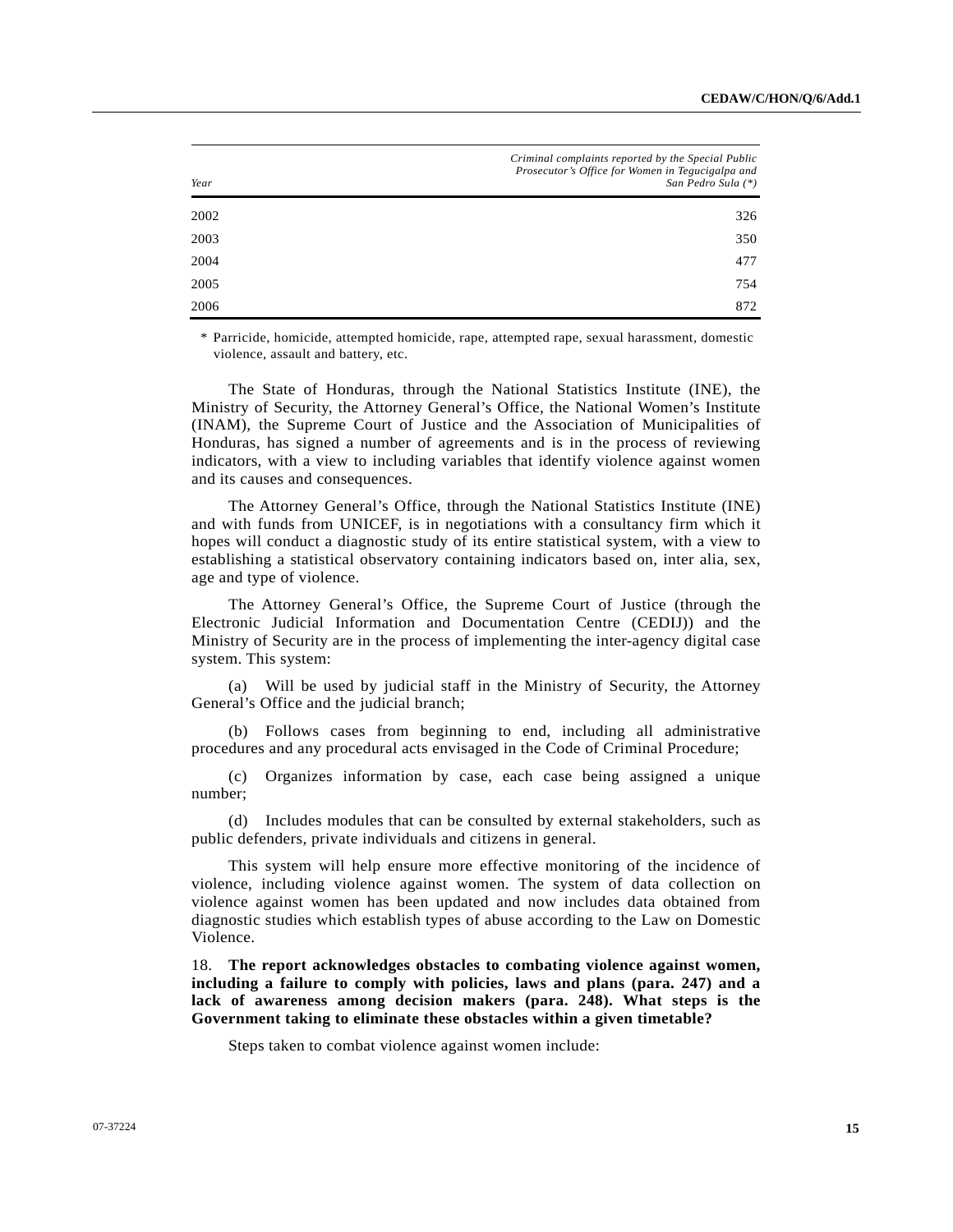| Year | Criminal complaints reported by the Special Public<br>Prosecutor's Office for Women in Tegucigalpa and<br>San Pedro Sula (*) |
|------|------------------------------------------------------------------------------------------------------------------------------|
| 2002 | 326                                                                                                                          |
| 2003 | 350                                                                                                                          |
| 2004 | 477                                                                                                                          |
| 2005 | 754                                                                                                                          |
| 2006 | 872                                                                                                                          |

 \* Parricide, homicide, attempted homicide, rape, attempted rape, sexual harassment, domestic violence, assault and battery, etc.

 The State of Honduras, through the National Statistics Institute (INE), the Ministry of Security, the Attorney General's Office, the National Women's Institute (INAM), the Supreme Court of Justice and the Association of Municipalities of Honduras, has signed a number of agreements and is in the process of reviewing indicators, with a view to including variables that identify violence against women and its causes and consequences.

 The Attorney General's Office, through the National Statistics Institute (INE) and with funds from UNICEF, is in negotiations with a consultancy firm which it hopes will conduct a diagnostic study of its entire statistical system, with a view to establishing a statistical observatory containing indicators based on, inter alia, sex, age and type of violence.

 The Attorney General's Office, the Supreme Court of Justice (through the Electronic Judicial Information and Documentation Centre (CEDIJ)) and the Ministry of Security are in the process of implementing the inter-agency digital case system. This system:

 (a) Will be used by judicial staff in the Ministry of Security, the Attorney General's Office and the judicial branch;

 (b) Follows cases from beginning to end, including all administrative procedures and any procedural acts envisaged in the Code of Criminal Procedure;

 (c) Organizes information by case, each case being assigned a unique number;

 (d) Includes modules that can be consulted by external stakeholders, such as public defenders, private individuals and citizens in general.

 This system will help ensure more effective monitoring of the incidence of violence, including violence against women. The system of data collection on violence against women has been updated and now includes data obtained from diagnostic studies which establish types of abuse according to the Law on Domestic Violence.

18. **The report acknowledges obstacles to combating violence against women, including a failure to comply with policies, laws and plans (para. 247) and a lack of awareness among decision makers (para. 248). What steps is the Government taking to eliminate these obstacles within a given timetable?**

Steps taken to combat violence against women include: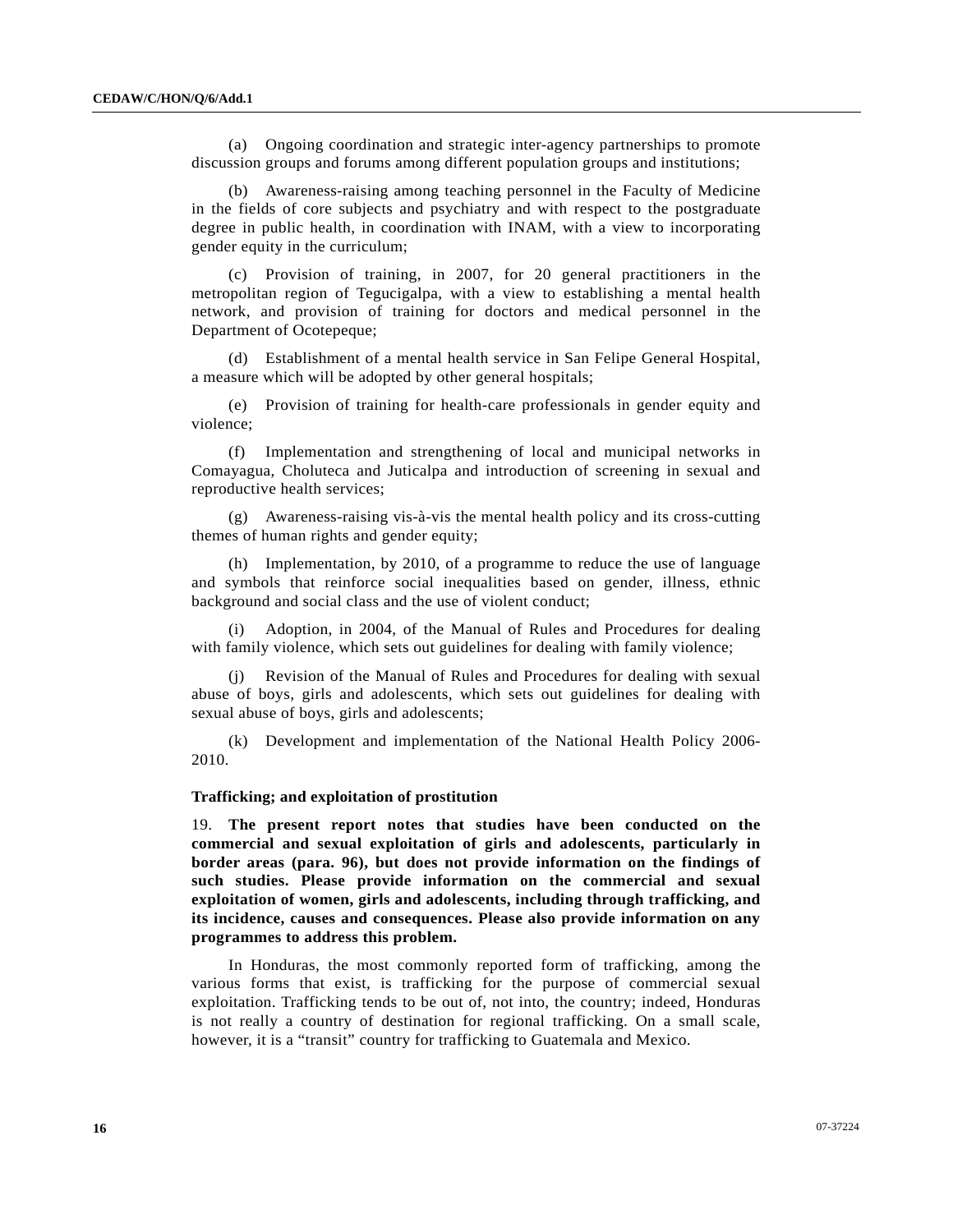(a) Ongoing coordination and strategic inter-agency partnerships to promote discussion groups and forums among different population groups and institutions;

 (b) Awareness-raising among teaching personnel in the Faculty of Medicine in the fields of core subjects and psychiatry and with respect to the postgraduate degree in public health, in coordination with INAM, with a view to incorporating gender equity in the curriculum;

 (c) Provision of training, in 2007, for 20 general practitioners in the metropolitan region of Tegucigalpa, with a view to establishing a mental health network, and provision of training for doctors and medical personnel in the Department of Ocotepeque;

 (d) Establishment of a mental health service in San Felipe General Hospital, a measure which will be adopted by other general hospitals;

 (e) Provision of training for health-care professionals in gender equity and violence;

 (f) Implementation and strengthening of local and municipal networks in Comayagua, Choluteca and Juticalpa and introduction of screening in sexual and reproductive health services;

 (g) Awareness-raising vis-à-vis the mental health policy and its cross-cutting themes of human rights and gender equity;

 (h) Implementation, by 2010, of a programme to reduce the use of language and symbols that reinforce social inequalities based on gender, illness, ethnic background and social class and the use of violent conduct;

 (i) Adoption, in 2004, of the Manual of Rules and Procedures for dealing with family violence, which sets out guidelines for dealing with family violence;

 (j) Revision of the Manual of Rules and Procedures for dealing with sexual abuse of boys, girls and adolescents, which sets out guidelines for dealing with sexual abuse of boys, girls and adolescents;

 (k) Development and implementation of the National Health Policy 2006- 2010.

### **Trafficking; and exploitation of prostitution**

19. **The present report notes that studies have been conducted on the commercial and sexual exploitation of girls and adolescents, particularly in border areas (para. 96), but does not provide information on the findings of such studies. Please provide information on the commercial and sexual exploitation of women, girls and adolescents, including through trafficking, and its incidence, causes and consequences. Please also provide information on any programmes to address this problem.**

 In Honduras, the most commonly reported form of trafficking, among the various forms that exist, is trafficking for the purpose of commercial sexual exploitation. Trafficking tends to be out of, not into, the country; indeed, Honduras is not really a country of destination for regional trafficking. On a small scale, however, it is a "transit" country for trafficking to Guatemala and Mexico.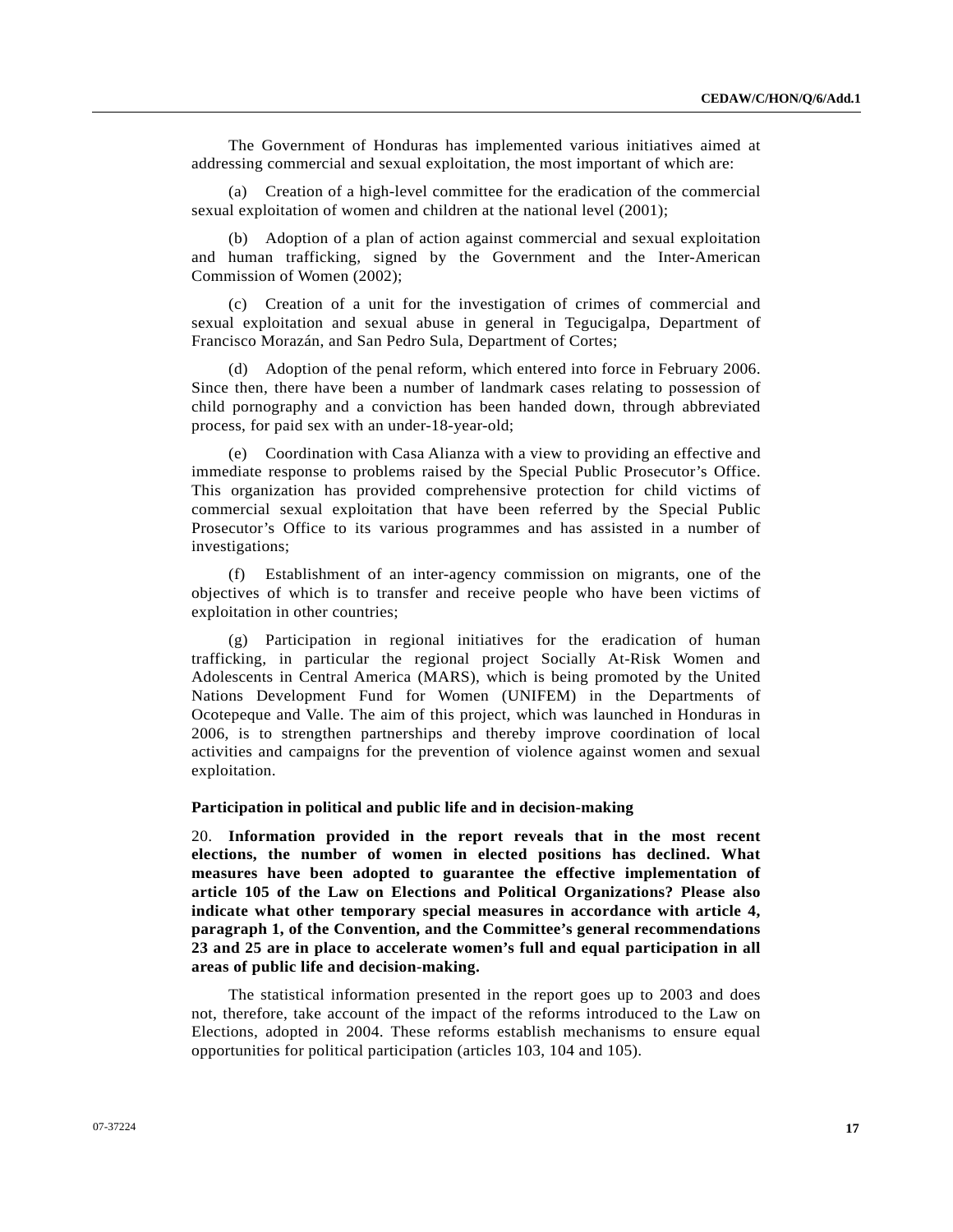The Government of Honduras has implemented various initiatives aimed at addressing commercial and sexual exploitation, the most important of which are:

 (a) Creation of a high-level committee for the eradication of the commercial sexual exploitation of women and children at the national level (2001);

 (b) Adoption of a plan of action against commercial and sexual exploitation and human trafficking, signed by the Government and the Inter-American Commission of Women (2002);

 (c) Creation of a unit for the investigation of crimes of commercial and sexual exploitation and sexual abuse in general in Tegucigalpa, Department of Francisco Morazán, and San Pedro Sula, Department of Cortes;

 (d) Adoption of the penal reform, which entered into force in February 2006. Since then, there have been a number of landmark cases relating to possession of child pornography and a conviction has been handed down, through abbreviated process, for paid sex with an under-18-year-old;

 (e) Coordination with Casa Alianza with a view to providing an effective and immediate response to problems raised by the Special Public Prosecutor's Office. This organization has provided comprehensive protection for child victims of commercial sexual exploitation that have been referred by the Special Public Prosecutor's Office to its various programmes and has assisted in a number of investigations;

 (f) Establishment of an inter-agency commission on migrants, one of the objectives of which is to transfer and receive people who have been victims of exploitation in other countries;

 (g) Participation in regional initiatives for the eradication of human trafficking, in particular the regional project Socially At-Risk Women and Adolescents in Central America (MARS), which is being promoted by the United Nations Development Fund for Women (UNIFEM) in the Departments of Ocotepeque and Valle. The aim of this project, which was launched in Honduras in 2006, is to strengthen partnerships and thereby improve coordination of local activities and campaigns for the prevention of violence against women and sexual exploitation.

### **Participation in political and public life and in decision-making**

20. **Information provided in the report reveals that in the most recent elections, the number of women in elected positions has declined. What measures have been adopted to guarantee the effective implementation of article 105 of the Law on Elections and Political Organizations? Please also indicate what other temporary special measures in accordance with article 4, paragraph 1, of the Convention, and the Committee's general recommendations 23 and 25 are in place to accelerate women's full and equal participation in all areas of public life and decision-making.** 

 The statistical information presented in the report goes up to 2003 and does not, therefore, take account of the impact of the reforms introduced to the Law on Elections, adopted in 2004. These reforms establish mechanisms to ensure equal opportunities for political participation (articles 103, 104 and 105).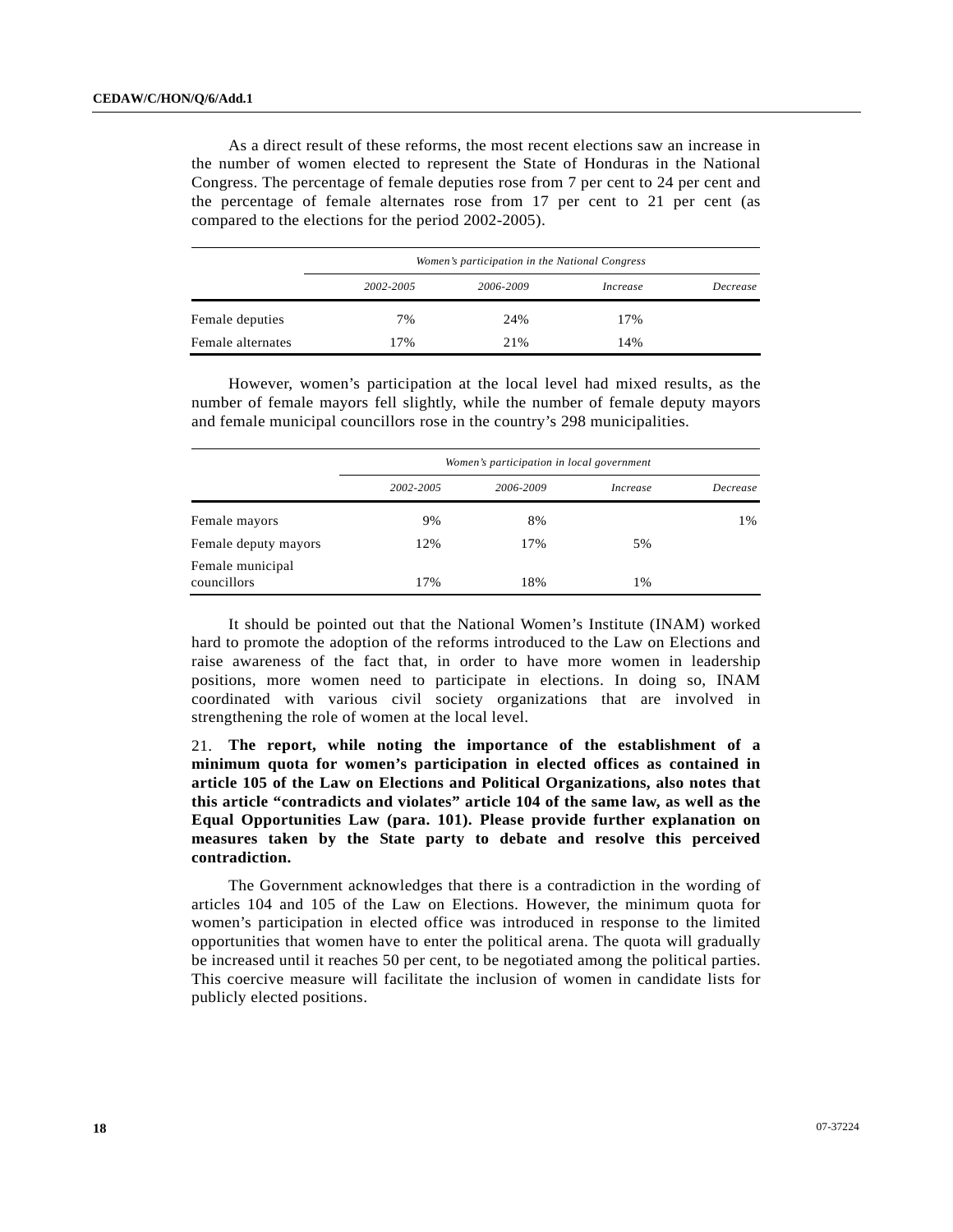As a direct result of these reforms, the most recent elections saw an increase in the number of women elected to represent the State of Honduras in the National Congress. The percentage of female deputies rose from 7 per cent to 24 per cent and the percentage of female alternates rose from 17 per cent to 21 per cent (as compared to the elections for the period 2002-2005).

|                   | Women's participation in the National Congress |           |          |          |
|-------------------|------------------------------------------------|-----------|----------|----------|
|                   | 2002-2005                                      | 2006-2009 | Increase | Decrease |
| Female deputies   | 7%                                             | 24%       | 17%      |          |
| Female alternates | 17%                                            | 21%       | 14%      |          |

 However, women's participation at the local level had mixed results, as the number of female mayors fell slightly, while the number of female deputy mayors and female municipal councillors rose in the country's 298 municipalities.

|                                 | Women's participation in local government |           |                 |          |
|---------------------------------|-------------------------------------------|-----------|-----------------|----------|
|                                 | 2002-2005                                 | 2006-2009 | <i>Increase</i> | Decrease |
| Female mayors                   | 9%                                        | 8%        |                 | 1%       |
| Female deputy mayors            | 12%                                       | 17%       | 5%              |          |
| Female municipal<br>councillors | 17%                                       | 18%       | 1%              |          |

 It should be pointed out that the National Women's Institute (INAM) worked hard to promote the adoption of the reforms introduced to the Law on Elections and raise awareness of the fact that, in order to have more women in leadership positions, more women need to participate in elections. In doing so, INAM coordinated with various civil society organizations that are involved in strengthening the role of women at the local level.

21. **The report, while noting the importance of the establishment of a minimum quota for women's participation in elected offices as contained in article 105 of the Law on Elections and Political Organizations, also notes that this article "contradicts and violates" article 104 of the same law, as well as the Equal Opportunities Law (para. 101). Please provide further explanation on measures taken by the State party to debate and resolve this perceived contradiction.** 

 The Government acknowledges that there is a contradiction in the wording of articles 104 and 105 of the Law on Elections. However, the minimum quota for women's participation in elected office was introduced in response to the limited opportunities that women have to enter the political arena. The quota will gradually be increased until it reaches 50 per cent, to be negotiated among the political parties. This coercive measure will facilitate the inclusion of women in candidate lists for publicly elected positions.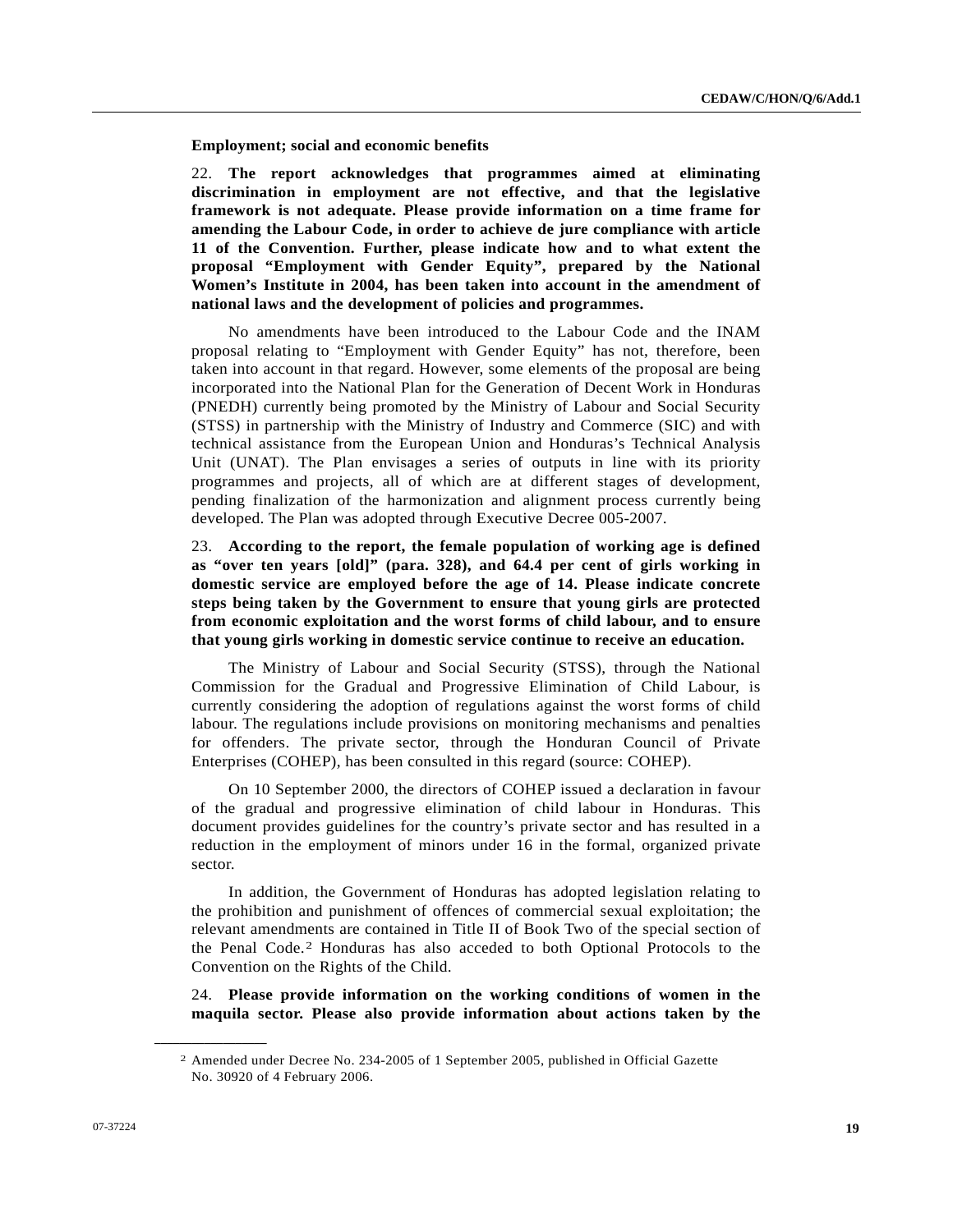**Employment; social and economic benefits** 

22. **The report acknowledges that programmes aimed at eliminating discrimination in employment are not effective, and that the legislative framework is not adequate. Please provide information on a time frame for amending the Labour Code, in order to achieve de jure compliance with article 11 of the Convention. Further, please indicate how and to what extent the proposal "Employment with Gender Equity", prepared by the National Women's Institute in 2004, has been taken into account in the amendment of national laws and the development of policies and programmes.**

 No amendments have been introduced to the Labour Code and the INAM proposal relating to "Employment with Gender Equity" has not, therefore, been taken into account in that regard. However, some elements of the proposal are being incorporated into the National Plan for the Generation of Decent Work in Honduras (PNEDH) currently being promoted by the Ministry of Labour and Social Security (STSS) in partnership with the Ministry of Industry and Commerce (SIC) and with technical assistance from the European Union and Honduras's Technical Analysis Unit (UNAT). The Plan envisages a series of outputs in line with its priority programmes and projects, all of which are at different stages of development, pending finalization of the harmonization and alignment process currently being developed. The Plan was adopted through Executive Decree 005-2007.

23. **According to the report, the female population of working age is defined as "over ten years [old]" (para. 328), and 64.4 per cent of girls working in domestic service are employed before the age of 14. Please indicate concrete steps being taken by the Government to ensure that young girls are protected from economic exploitation and the worst forms of child labour, and to ensure that young girls working in domestic service continue to receive an education.** 

 The Ministry of Labour and Social Security (STSS), through the National Commission for the Gradual and Progressive Elimination of Child Labour, is currently considering the adoption of regulations against the worst forms of child labour. The regulations include provisions on monitoring mechanisms and penalties for offenders. The private sector, through the Honduran Council of Private Enterprises (COHEP), has been consulted in this regard (source: COHEP).

 On 10 September 2000, the directors of COHEP issued a declaration in favour of the gradual and progressive elimination of child labour in Honduras. This document provides guidelines for the country's private sector and has resulted in a reduction in the employment of minors under 16 in the formal, organized private sector.

 In addition, the Government of Honduras has adopted legislation relating to the prohibition and punishment of offences of commercial sexual exploitation; the relevant amendments are contained in Title II of Book Two of the special section of the Penal Code.[2](#page-18-0) Honduras has also acceded to both Optional Protocols to the Convention on the Rights of the Child.

24. **Please provide information on the working conditions of women in the maquila sector. Please also provide information about actions taken by the** 

<span id="page-18-0"></span>**\_\_\_\_\_\_\_\_\_\_\_\_\_\_\_\_\_\_** 

<sup>2</sup> Amended under Decree No. 234-2005 of 1 September 2005, published in Official Gazette No. 30920 of 4 February 2006.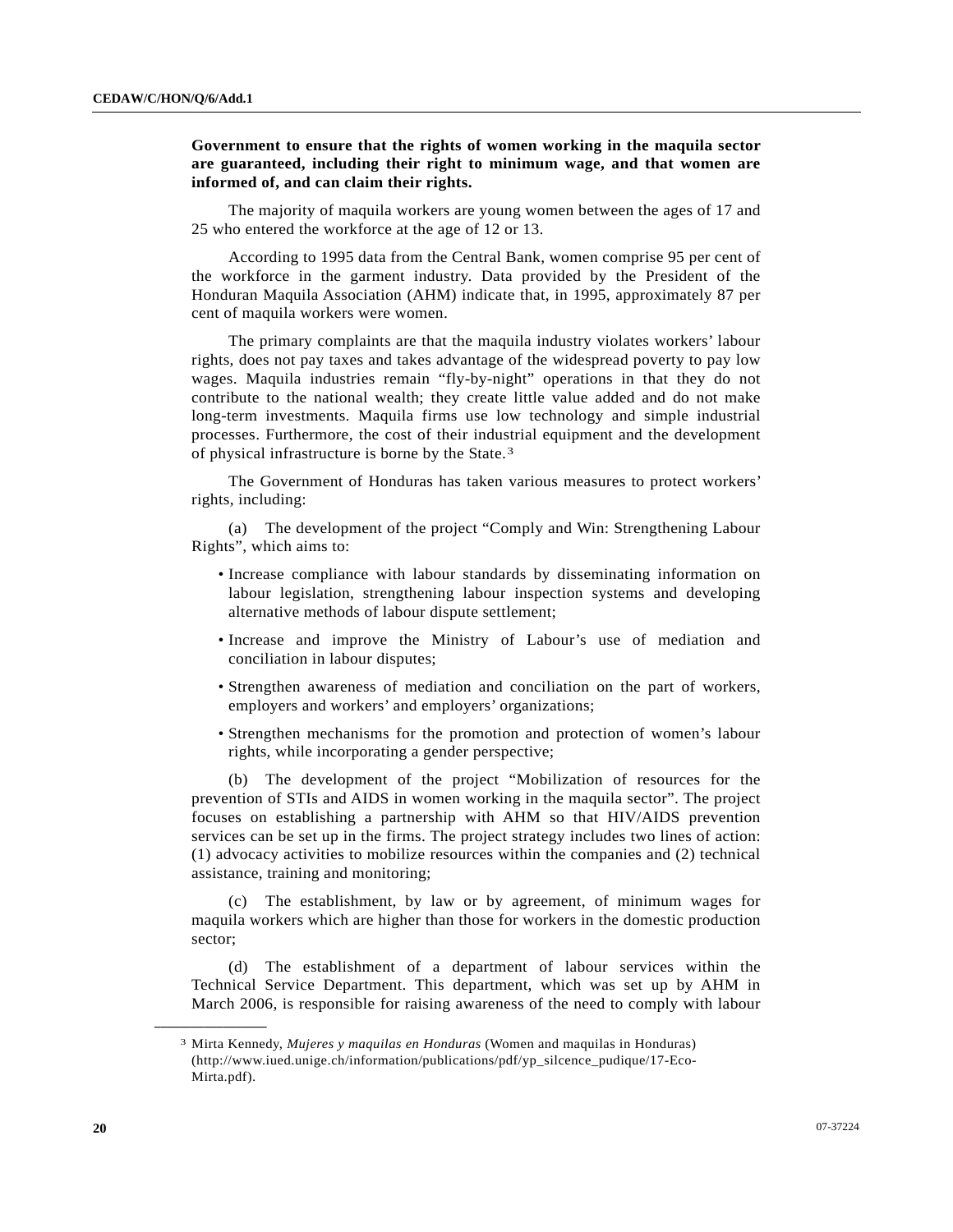## **Government to ensure that the rights of women working in the maquila sector are guaranteed, including their right to minimum wage, and that women are informed of, and can claim their rights.**

 The majority of maquila workers are young women between the ages of 17 and 25 who entered the workforce at the age of 12 or 13.

 According to 1995 data from the Central Bank, women comprise 95 per cent of the workforce in the garment industry. Data provided by the President of the Honduran Maquila Association (AHM) indicate that, in 1995, approximately 87 per cent of maquila workers were women.

 The primary complaints are that the maquila industry violates workers' labour rights, does not pay taxes and takes advantage of the widespread poverty to pay low wages. Maquila industries remain "fly-by-night" operations in that they do not contribute to the national wealth; they create little value added and do not make long-term investments. Maquila firms use low technology and simple industrial processes. Furthermore, the cost of their industrial equipment and the development of physical infrastructure is borne by the State.[3](#page-19-0)

 The Government of Honduras has taken various measures to protect workers' rights, including:

 (a) The development of the project "Comply and Win: Strengthening Labour Rights", which aims to:

- Increase compliance with labour standards by disseminating information on labour legislation, strengthening labour inspection systems and developing alternative methods of labour dispute settlement;
- Increase and improve the Ministry of Labour's use of mediation and conciliation in labour disputes;
- Strengthen awareness of mediation and conciliation on the part of workers, employers and workers' and employers' organizations;
- Strengthen mechanisms for the promotion and protection of women's labour rights, while incorporating a gender perspective;

 (b) The development of the project "Mobilization of resources for the prevention of STIs and AIDS in women working in the maquila sector". The project focuses on establishing a partnership with AHM so that HIV/AIDS prevention services can be set up in the firms. The project strategy includes two lines of action: (1) advocacy activities to mobilize resources within the companies and (2) technical assistance, training and monitoring;

 (c) The establishment, by law or by agreement, of minimum wages for maquila workers which are higher than those for workers in the domestic production sector;

 (d) The establishment of a department of labour services within the Technical Service Department. This department, which was set up by AHM in March 2006, is responsible for raising awareness of the need to comply with labour

<span id="page-19-0"></span>**\_\_\_\_\_\_\_\_\_\_\_\_\_\_\_\_\_\_** 

<sup>3</sup> Mirta Kennedy, *Mujeres y maquilas en Honduras* (Women and maquilas in Honduras) (http://www.iued.unige.ch/information/publications/pdf/yp\_silcence\_pudique/17-Eco-Mirta.pdf).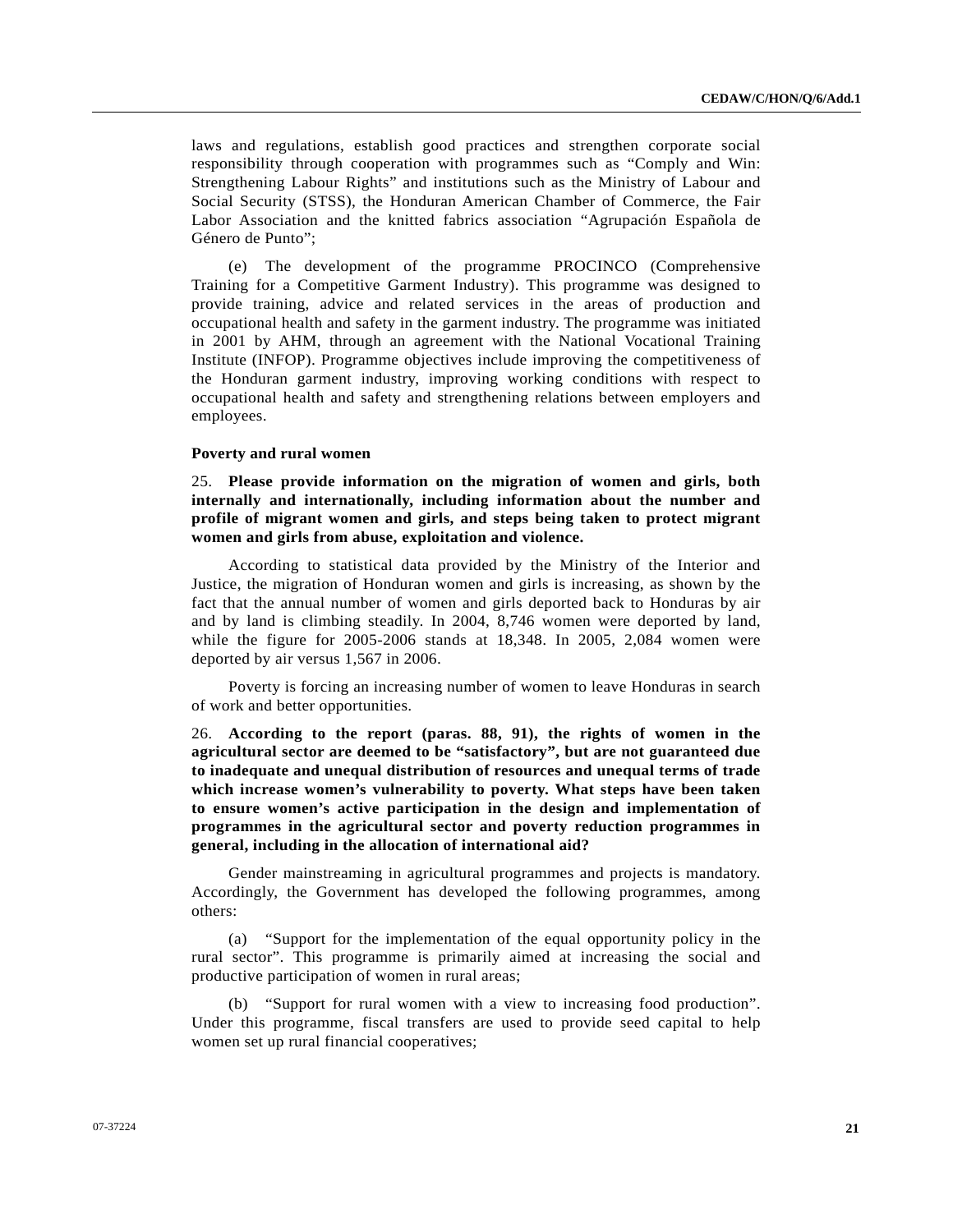laws and regulations, establish good practices and strengthen corporate social responsibility through cooperation with programmes such as "Comply and Win: Strengthening Labour Rights" and institutions such as the Ministry of Labour and Social Security (STSS), the Honduran American Chamber of Commerce, the Fair Labor Association and the knitted fabrics association "Agrupación Española de Género de Punto";

 (e) The development of the programme PROCINCO (Comprehensive Training for a Competitive Garment Industry). This programme was designed to provide training, advice and related services in the areas of production and occupational health and safety in the garment industry. The programme was initiated in 2001 by AHM, through an agreement with the National Vocational Training Institute (INFOP). Programme objectives include improving the competitiveness of the Honduran garment industry, improving working conditions with respect to occupational health and safety and strengthening relations between employers and employees.

### **Poverty and rural women**

25. **Please provide information on the migration of women and girls, both internally and internationally, including information about the number and profile of migrant women and girls, and steps being taken to protect migrant women and girls from abuse, exploitation and violence.**

 According to statistical data provided by the Ministry of the Interior and Justice, the migration of Honduran women and girls is increasing, as shown by the fact that the annual number of women and girls deported back to Honduras by air and by land is climbing steadily. In 2004, 8,746 women were deported by land, while the figure for 2005-2006 stands at 18,348. In 2005, 2,084 women were deported by air versus 1,567 in 2006.

 Poverty is forcing an increasing number of women to leave Honduras in search of work and better opportunities.

26. **According to the report (paras. 88, 91), the rights of women in the agricultural sector are deemed to be "satisfactory", but are not guaranteed due to inadequate and unequal distribution of resources and unequal terms of trade which increase women's vulnerability to poverty. What steps have been taken to ensure women's active participation in the design and implementation of programmes in the agricultural sector and poverty reduction programmes in general, including in the allocation of international aid?** 

 Gender mainstreaming in agricultural programmes and projects is mandatory. Accordingly, the Government has developed the following programmes, among others:

 (a) "Support for the implementation of the equal opportunity policy in the rural sector". This programme is primarily aimed at increasing the social and productive participation of women in rural areas;

 (b) "Support for rural women with a view to increasing food production". Under this programme, fiscal transfers are used to provide seed capital to help women set up rural financial cooperatives;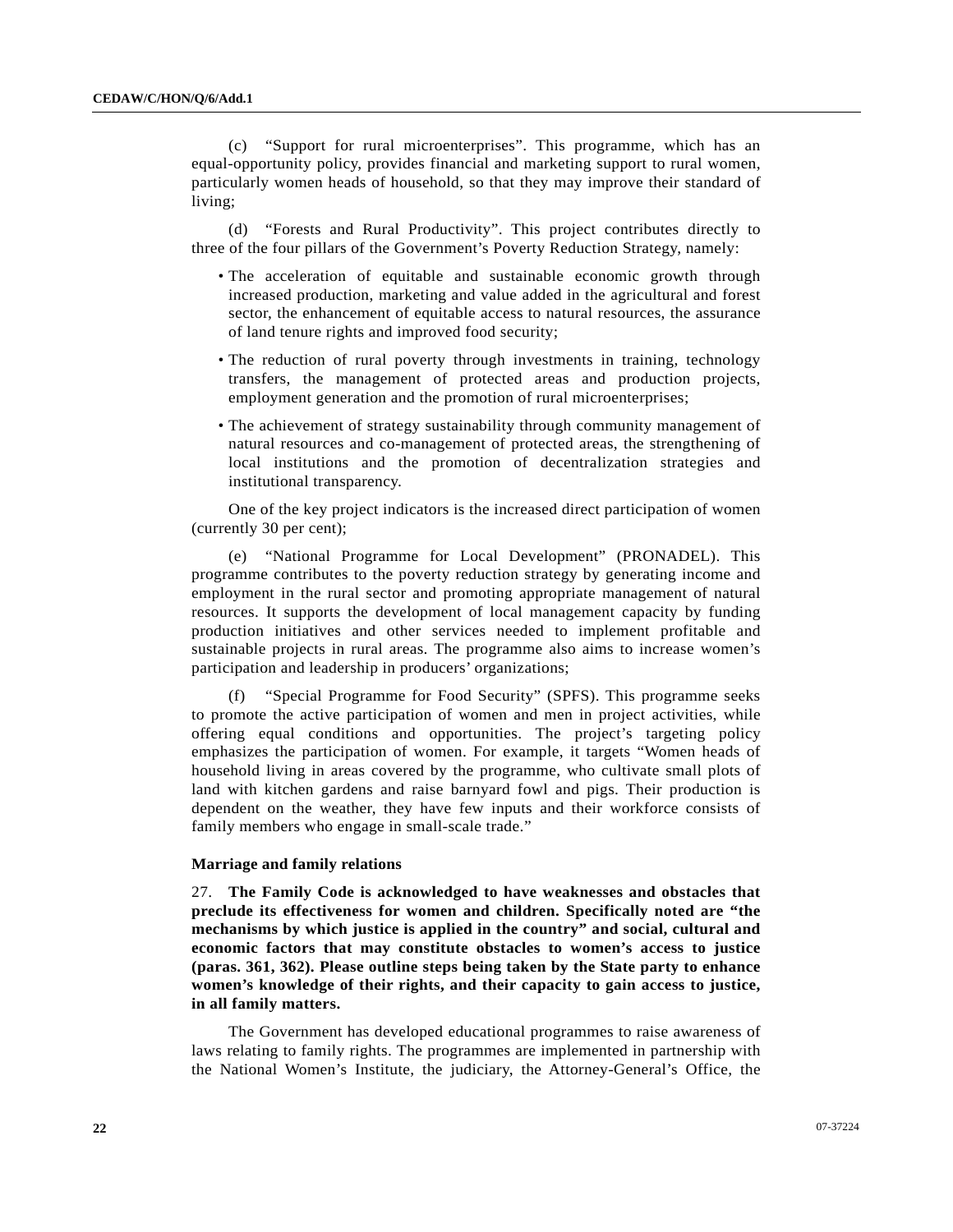(c) "Support for rural microenterprises". This programme, which has an equal-opportunity policy, provides financial and marketing support to rural women, particularly women heads of household, so that they may improve their standard of living;

 (d) "Forests and Rural Productivity". This project contributes directly to three of the four pillars of the Government's Poverty Reduction Strategy, namely:

- The acceleration of equitable and sustainable economic growth through increased production, marketing and value added in the agricultural and forest sector, the enhancement of equitable access to natural resources, the assurance of land tenure rights and improved food security;
- The reduction of rural poverty through investments in training, technology transfers, the management of protected areas and production projects, employment generation and the promotion of rural microenterprises;
- The achievement of strategy sustainability through community management of natural resources and co-management of protected areas, the strengthening of local institutions and the promotion of decentralization strategies and institutional transparency.

 One of the key project indicators is the increased direct participation of women (currently 30 per cent);

 (e) "National Programme for Local Development" (PRONADEL). This programme contributes to the poverty reduction strategy by generating income and employment in the rural sector and promoting appropriate management of natural resources. It supports the development of local management capacity by funding production initiatives and other services needed to implement profitable and sustainable projects in rural areas. The programme also aims to increase women's participation and leadership in producers' organizations;

 (f) "Special Programme for Food Security" (SPFS). This programme seeks to promote the active participation of women and men in project activities, while offering equal conditions and opportunities. The project's targeting policy emphasizes the participation of women. For example, it targets "Women heads of household living in areas covered by the programme, who cultivate small plots of land with kitchen gardens and raise barnyard fowl and pigs. Their production is dependent on the weather, they have few inputs and their workforce consists of family members who engage in small-scale trade."

### **Marriage and family relations**

27. **The Family Code is acknowledged to have weaknesses and obstacles that preclude its effectiveness for women and children. Specifically noted are "the mechanisms by which justice is applied in the country" and social, cultural and economic factors that may constitute obstacles to women's access to justice (paras. 361, 362). Please outline steps being taken by the State party to enhance women's knowledge of their rights, and their capacity to gain access to justice, in all family matters.** 

 The Government has developed educational programmes to raise awareness of laws relating to family rights. The programmes are implemented in partnership with the National Women's Institute, the judiciary, the Attorney-General's Office, the